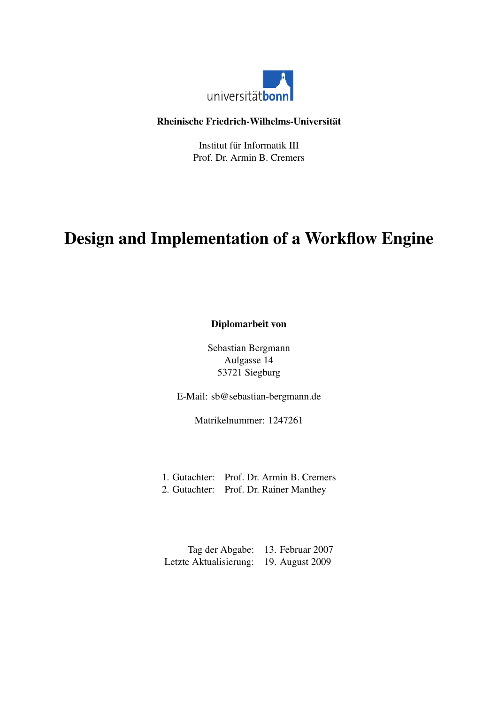

#### <span id="page-0-0"></span>Rheinische Friedrich-Wilhelms-Universität

Institut für Informatik III Prof. Dr. Armin B. Cremers

# Design and Implementation of a Workflow Engine

Diplomarbeit von

Sebastian Bergmann Aulgasse 14 53721 Siegburg

E-Mail: sb@sebastian-bergmann.de

Matrikelnummer: 1247261

- 1. Gutachter: Prof. Dr. Armin B. Cremers
- 2. Gutachter: Prof. Dr. Rainer Manthey

Tag der Abgabe: 13. Februar 2007 Letzte Aktualisierung: 19. August 2009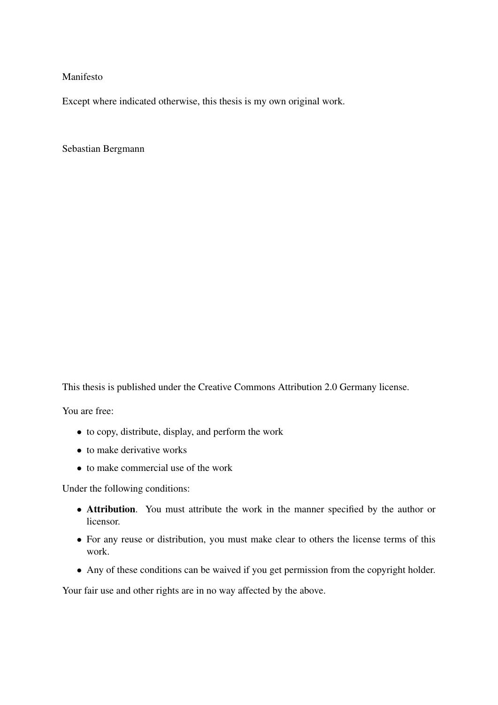Manifesto

Except where indicated otherwise, this thesis is my own original work.

Sebastian Bergmann

This thesis is published under the Creative Commons Attribution 2.0 Germany license.

You are free:

- to copy, distribute, display, and perform the work
- to make derivative works
- to make commercial use of the work

Under the following conditions:

- Attribution. You must attribute the work in the manner specified by the author or licensor.
- For any reuse or distribution, you must make clear to others the license terms of this work.
- Any of these conditions can be waived if you get permission from the copyright holder.

Your fair use and other rights are in no way affected by the above.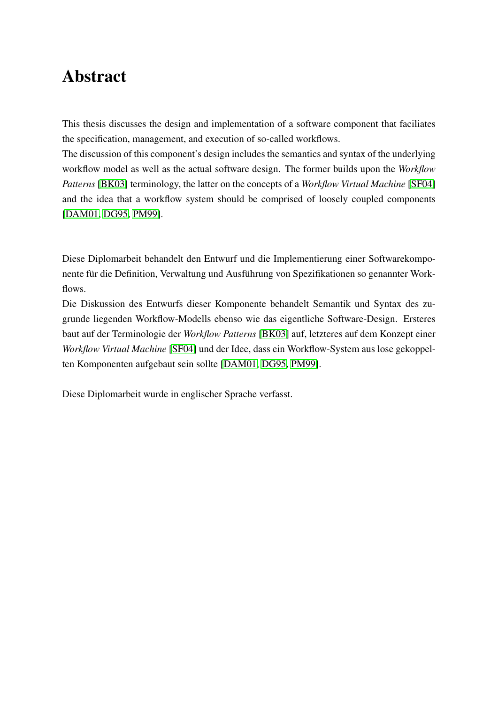# Abstract

This thesis discusses the design and implementation of a software component that faciliates the specification, management, and execution of so-called workflows.

The discussion of this component's design includes the semantics and syntax of the underlying workflow model as well as the actual software design. The former builds upon the *Workflow Patterns* [\[BK03\]](#page-87-0) terminology, the latter on the concepts of a *Workflow Virtual Machine* [\[SF04\]](#page-89-0) and the idea that a workflow system should be comprised of loosely coupled components [\[DAM01,](#page-87-1) [DG95,](#page-87-2) [PM99\]](#page-89-1).

Diese Diplomarbeit behandelt den Entwurf und die Implementierung einer Softwarekomponente für die Definition, Verwaltung und Ausführung von Spezifikationen so genannter Workflows.

Die Diskussion des Entwurfs dieser Komponente behandelt Semantik und Syntax des zugrunde liegenden Workflow-Modells ebenso wie das eigentliche Software-Design. Ersteres baut auf der Terminologie der *Workflow Patterns* [\[BK03\]](#page-87-0) auf, letzteres auf dem Konzept einer *Workflow Virtual Machine* [\[SF04\]](#page-89-0) und der Idee, dass ein Workflow-System aus lose gekoppelten Komponenten aufgebaut sein sollte [\[DAM01,](#page-87-1) [DG95,](#page-87-2) [PM99\]](#page-89-1).

Diese Diplomarbeit wurde in englischer Sprache verfasst.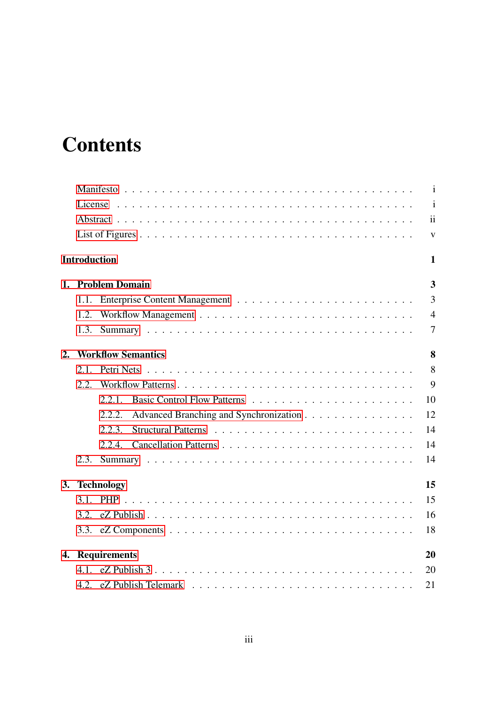# <span id="page-3-0"></span>**Contents**

|    |                     |                                                  | $\mathbf{i}$        |
|----|---------------------|--------------------------------------------------|---------------------|
|    |                     |                                                  | $\mathbf{i}$        |
|    |                     |                                                  | $\ddot{\mathbf{i}}$ |
|    |                     |                                                  | $\mathbf{V}$        |
|    | <b>Introduction</b> |                                                  | $\mathbf{1}$        |
|    |                     | 1. Problem Domain                                | 3                   |
|    | 1.1.                |                                                  | $\overline{3}$      |
|    | 1.2.                |                                                  | $\overline{4}$      |
|    | 1.3.                |                                                  | $\overline{7}$      |
| 2. |                     | <b>Workflow Semantics</b>                        | 8                   |
|    | 2.1                 |                                                  | 8                   |
|    | 2.2.                |                                                  | 9                   |
|    |                     | 2.2.1                                            | 10                  |
|    |                     | Advanced Branching and Synchronization<br>2.2.2. | 12                  |
|    |                     | 2.2.3.                                           | 14                  |
|    |                     |                                                  | 14                  |
|    |                     |                                                  | 14                  |
| 3. |                     | <b>Technology</b>                                | 15                  |
|    | 3.1.                |                                                  | 15                  |
|    | 3.2.                |                                                  | 16                  |
|    |                     |                                                  | 18                  |
|    |                     | 4. Requirements                                  | 20                  |
|    | 4.1.                |                                                  | 20                  |
|    | 4.2.                |                                                  | 21                  |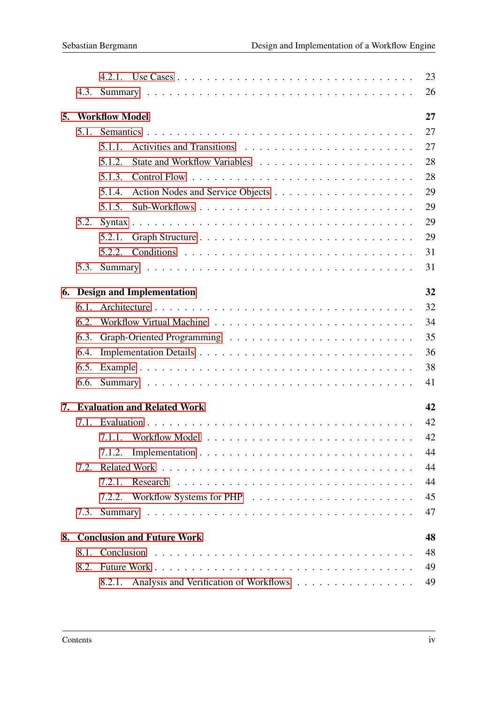|    |      |                                                  | 23 |
|----|------|--------------------------------------------------|----|
|    | 4.3. |                                                  | 26 |
| 5. |      | <b>Workflow Model</b>                            | 27 |
|    | 5.1. |                                                  | 27 |
|    |      | $5.1.1$ .                                        | 27 |
|    |      | 5.1.2.                                           | 28 |
|    |      | 5.1.3.                                           | 28 |
|    |      | 5.1.4.                                           | 29 |
|    |      | 5.1.5.                                           | 29 |
|    | 5.2. |                                                  | 29 |
|    |      | 5.2.1.                                           | 29 |
|    |      | 5.2.2.                                           | 31 |
|    | 5.3. |                                                  | 31 |
| 6. |      | <b>Design and Implementation</b>                 | 32 |
|    | 6.1. |                                                  | 32 |
|    | 6.2. |                                                  | 34 |
|    | 6.3. |                                                  | 35 |
|    | 6.4. |                                                  | 36 |
|    | 6.5. |                                                  | 38 |
|    | 6.6. |                                                  | 41 |
|    |      | 7. Evaluation and Related Work                   | 42 |
|    | 7.1. |                                                  | 42 |
|    |      | 7.1.1. Workflow Model                            | 42 |
|    |      | 7.1.2.                                           | 44 |
|    | 7.2. |                                                  | 44 |
|    |      | 7.2.1.                                           | 44 |
|    |      |                                                  | 45 |
|    | 7.3. |                                                  | 47 |
| 8. |      | <b>Conclusion and Future Work</b>                | 48 |
|    |      |                                                  | 48 |
|    |      |                                                  | 49 |
|    |      | Analysis and Verification of Workflows<br>8.2.1. | 49 |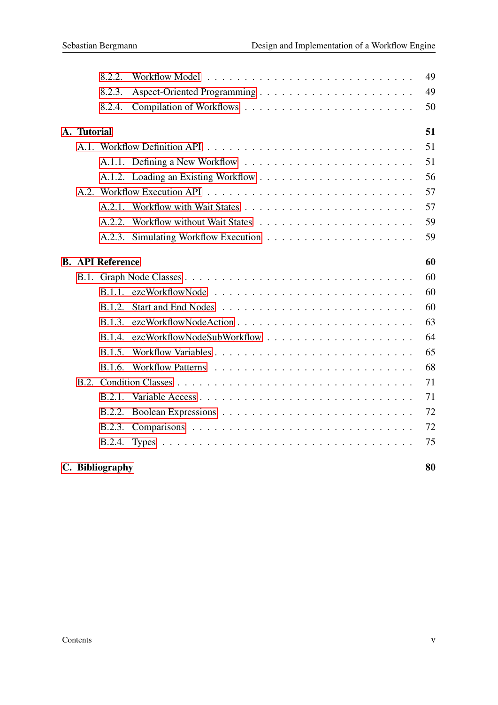|             | 8.2.2.                  | 49 |
|-------------|-------------------------|----|
|             | 8.2.3.                  | 49 |
|             | 8.2.4.                  | 50 |
| A. Tutorial |                         | 51 |
|             |                         | 51 |
|             |                         | 51 |
|             |                         | 56 |
|             |                         | 57 |
|             |                         | 57 |
|             |                         | 59 |
|             |                         | 59 |
|             | <b>B. API Reference</b> | 60 |
|             |                         | 60 |
|             |                         | 60 |
|             | <b>B.1.2.</b>           | 60 |
|             | B.1.3.                  | 63 |
|             | <b>B.1.4.</b>           | 64 |
|             | B.1.5.                  | 65 |
|             |                         | 68 |
|             |                         | 71 |
|             | B.2.1.                  | 71 |
|             | B.2.2.                  | 72 |
|             | B.2.3.                  | 72 |
|             |                         | 75 |
|             | C. Bibliography         | 80 |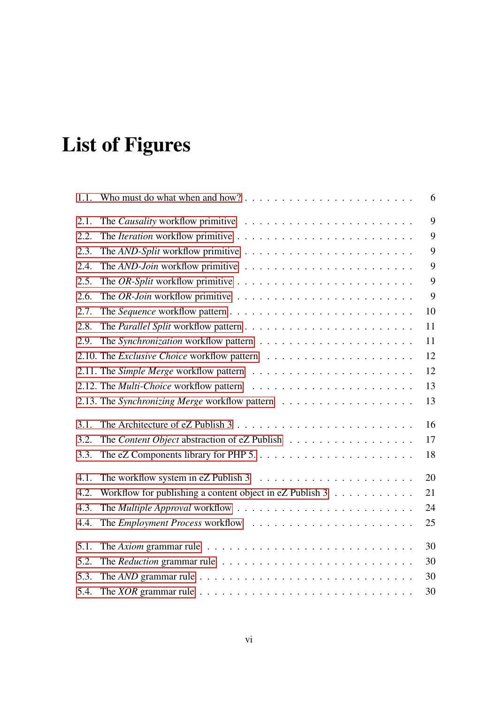# <span id="page-6-0"></span>List of Figures

| 1.1. |                                                                                                     | 6  |
|------|-----------------------------------------------------------------------------------------------------|----|
| 2.1. |                                                                                                     | 9  |
| 2.2. |                                                                                                     | 9  |
| 2.3. |                                                                                                     | 9  |
| 2.4. |                                                                                                     | 9  |
| 2.5. |                                                                                                     | 9  |
| 2.6. | The OR-Join workflow primitive $\ldots \ldots \ldots \ldots \ldots \ldots \ldots \ldots$            | 9  |
| 2.7. |                                                                                                     | 10 |
| 2.8. |                                                                                                     | 11 |
| 2.9. |                                                                                                     | 11 |
|      |                                                                                                     | 12 |
|      |                                                                                                     | 12 |
|      |                                                                                                     | 13 |
|      |                                                                                                     | 13 |
| 3.1. |                                                                                                     | 16 |
| 3.2. | The Content Object abstraction of eZ Publish                                                        | 17 |
| 3.3. |                                                                                                     | 18 |
| 4.1. |                                                                                                     | 20 |
| 4.2. | Workflow for publishing a content object in $eZ$ Publish 3                                          | 21 |
| 4.3. |                                                                                                     | 24 |
| 4.4. |                                                                                                     | 25 |
| 5.1. | The Axiom grammar rule $\ldots \ldots \ldots \ldots \ldots \ldots \ldots \ldots \ldots$             | 30 |
| 5.2. |                                                                                                     | 30 |
| 5.3. | The AND grammar rule $\ldots \ldots \ldots \ldots \ldots \ldots \ldots \ldots \ldots \ldots$        | 30 |
| 5.4. | The <i>XOR</i> grammar rule $\ldots \ldots \ldots \ldots \ldots \ldots \ldots \ldots \ldots \ldots$ | 30 |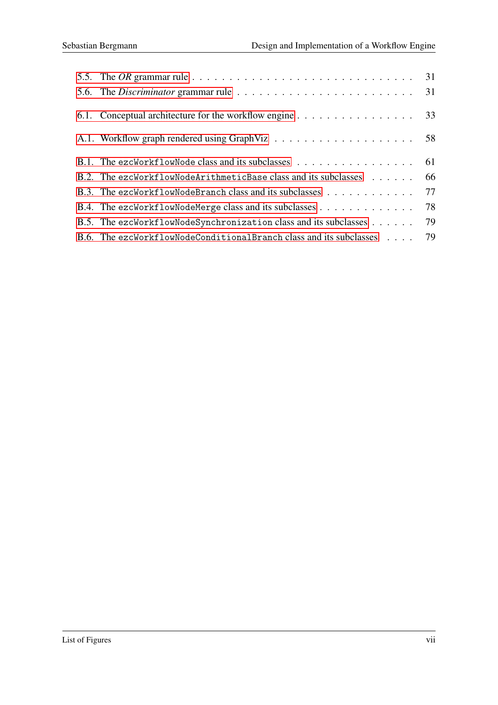| 5.5. The OR grammar rule $\ldots \ldots \ldots \ldots \ldots \ldots \ldots \ldots \ldots \ldots \ldots \ldots$ 31 |  |
|-------------------------------------------------------------------------------------------------------------------|--|
| 5.6. The Discriminator grammar rule $\ldots \ldots \ldots \ldots \ldots \ldots \ldots \ldots \ldots$ 31           |  |
| 6.1. Conceptual architecture for the workflow engine 33                                                           |  |
|                                                                                                                   |  |
| B.1. The ezcWorkflowNode class and its subclasses $\dots \dots \dots \dots \dots \dots$ 61                        |  |
| B.2. The ezcWorkflowNodeArithmeticBase class and its subclasses 66                                                |  |
| B.3. The ezcWorkflowNodeBranch class and its subclasses 77                                                        |  |
| B.4. The ezcWorkflowNodeMerge class and its subclasses 78                                                         |  |
| B.5. The ezcWorkflowNodeSynchronization class and its subclasses 79                                               |  |
| B.6. The ezcWorkflowNodeConditionalBranch class and its subclasses 79                                             |  |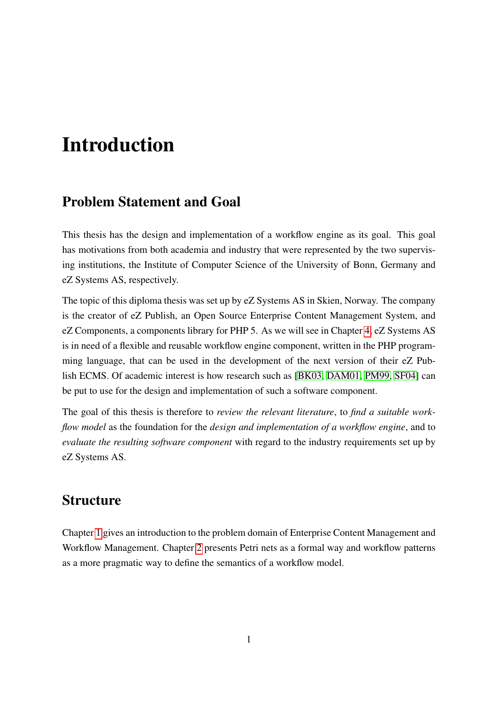# Introduction

### Problem Statement and Goal

This thesis has the design and implementation of a workflow engine as its goal. This goal has motivations from both academia and industry that were represented by the two supervising institutions, the Institute of Computer Science of the University of Bonn, Germany and eZ Systems AS, respectively.

The topic of this diploma thesis was set up by eZ Systems AS in Skien, Norway. The company is the creator of eZ Publish, an Open Source Enterprise Content Management System, and eZ Components, a components library for PHP 5. As we will see in Chapter [4,](#page-27-0) eZ Systems AS is in need of a flexible and reusable workflow engine component, written in the PHP programming language, that can be used in the development of the next version of their eZ Publish ECMS. Of academic interest is how research such as [\[BK03,](#page-87-0) [DAM01,](#page-87-1) [PM99,](#page-89-1) [SF04\]](#page-89-0) can be put to use for the design and implementation of such a software component.

The goal of this thesis is therefore to *review the relevant literature*, to *find a suitable workflow model* as the foundation for the *design and implementation of a workflow engine*, and to *evaluate the resulting software component* with regard to the industry requirements set up by eZ Systems AS.

### **Structure**

Chapter [1](#page-10-0) gives an introduction to the problem domain of Enterprise Content Management and Workflow Management. Chapter [2](#page-15-0) presents Petri nets as a formal way and workflow patterns as a more pragmatic way to define the semantics of a workflow model.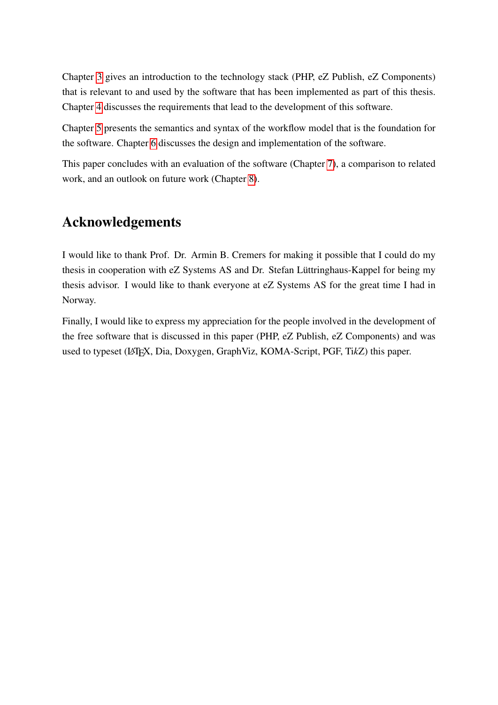Chapter [3](#page-22-0) gives an introduction to the technology stack (PHP, eZ Publish, eZ Components) that is relevant to and used by the software that has been implemented as part of this thesis. Chapter [4](#page-27-0) discusses the requirements that lead to the development of this software.

Chapter [5](#page-34-0) presents the semantics and syntax of the workflow model that is the foundation for the software. Chapter [6](#page-39-0) discusses the design and implementation of the software.

This paper concludes with an evaluation of the software (Chapter [7\)](#page-49-0), a comparison to related work, and an outlook on future work (Chapter [8\)](#page-55-0).

### Acknowledgements

I would like to thank Prof. Dr. Armin B. Cremers for making it possible that I could do my thesis in cooperation with eZ Systems AS and Dr. Stefan Lüttringhaus-Kappel for being my thesis advisor. I would like to thank everyone at eZ Systems AS for the great time I had in Norway.

Finally, I would like to express my appreciation for the people involved in the development of the free software that is discussed in this paper (PHP, eZ Publish, eZ Components) and was used to typeset (LATEX, Dia, Doxygen, GraphViz, KOMA-Script, PGF, Ti*k*Z) this paper.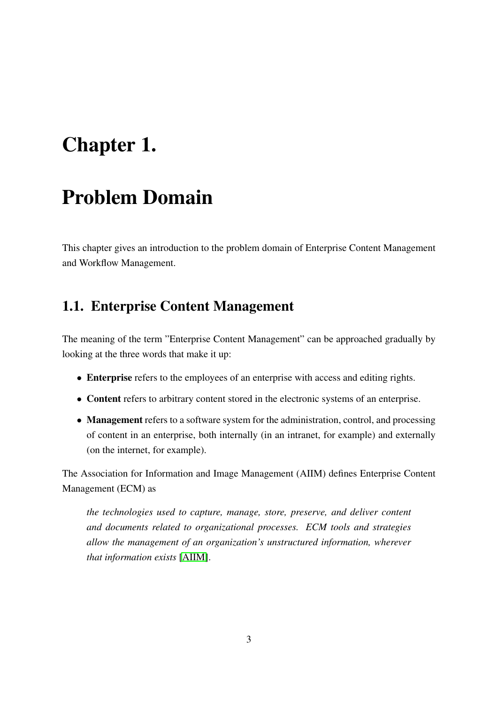# <span id="page-10-0"></span>Chapter 1.

# Problem Domain

This chapter gives an introduction to the problem domain of Enterprise Content Management and Workflow Management.

### <span id="page-10-1"></span>1.1. Enterprise Content Management

The meaning of the term "Enterprise Content Management" can be approached gradually by looking at the three words that make it up:

- Enterprise refers to the employees of an enterprise with access and editing rights.
- Content refers to arbitrary content stored in the electronic systems of an enterprise.
- Management refers to a software system for the administration, control, and processing of content in an enterprise, both internally (in an intranet, for example) and externally (on the internet, for example).

The Association for Information and Image Management (AIIM) defines Enterprise Content Management (ECM) as

*the technologies used to capture, manage, store, preserve, and deliver content and documents related to organizational processes. ECM tools and strategies allow the management of an organization's unstructured information, wherever that information exists* [\[AIIM\]](#page-87-4).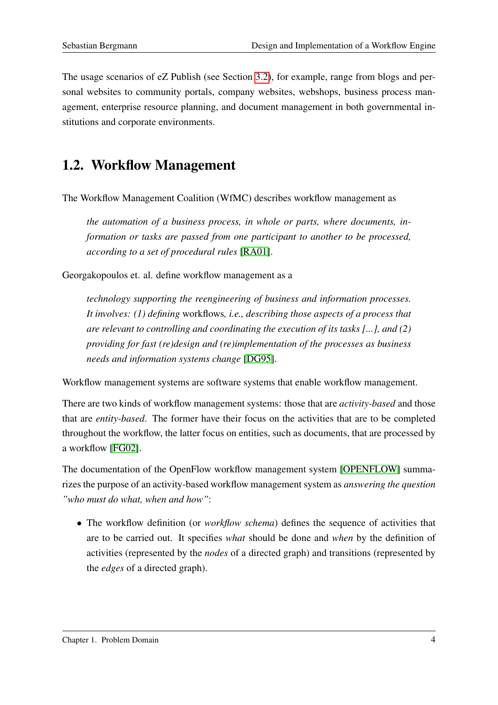The usage scenarios of eZ Publish (see Section [3.2\)](#page-23-0), for example, range from blogs and personal websites to community portals, company websites, webshops, business process management, enterprise resource planning, and document management in both governmental institutions and corporate environments.

### <span id="page-11-0"></span>1.2. Workflow Management

The Workflow Management Coalition (WfMC) describes workflow management as

*the automation of a business process, in whole or parts, where documents, information or tasks are passed from one participant to another to be processed, according to a set of procedural rules* [\[RA01\]](#page-89-2).

Georgakopoulos et. al. define workflow management as a

*technology supporting the reengineering of business and information processes. It involves: (1) defining* workflows*, i.e., describing those aspects of a process that are relevant to controlling and coordinating the execution of its tasks [...], and (2) providing for fast (re)design and (re)implementation of the processes as business needs and information systems change* [\[DG95\]](#page-87-2).

Workflow management systems are software systems that enable workflow management.

There are two kinds of workflow management systems: those that are *activity-based* and those that are *entity-based*. The former have their focus on the activities that are to be completed throughout the workflow, the latter focus on entities, such as documents, that are processed by a workflow [\[FG02\]](#page-88-0).

The documentation of the OpenFlow workflow management system [\[OPENFLOW\]](#page-88-1) summarizes the purpose of an activity-based workflow management system as *answering the question "who must do what, when and how"*:

• The workflow definition (or *workflow schema*) defines the sequence of activities that are to be carried out. It specifies *what* should be done and *when* by the definition of activities (represented by the *nodes* of a directed graph) and transitions (represented by the *edges* of a directed graph).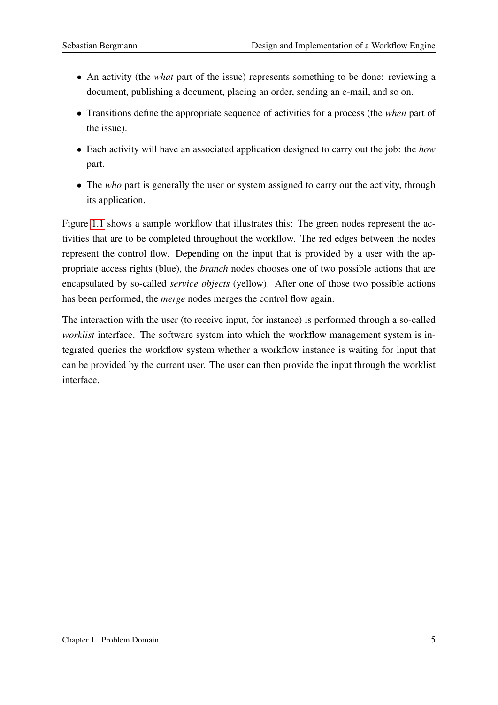- An activity (the *what* part of the issue) represents something to be done: reviewing a document, publishing a document, placing an order, sending an e-mail, and so on.
- Transitions define the appropriate sequence of activities for a process (the *when* part of the issue).
- Each activity will have an associated application designed to carry out the job: the *how* part.
- The *who* part is generally the user or system assigned to carry out the activity, through its application.

Figure [1.1](#page-13-0) shows a sample workflow that illustrates this: The green nodes represent the activities that are to be completed throughout the workflow. The red edges between the nodes represent the control flow. Depending on the input that is provided by a user with the appropriate access rights (blue), the *branch* nodes chooses one of two possible actions that are encapsulated by so-called *service objects* (yellow). After one of those two possible actions has been performed, the *merge* nodes merges the control flow again.

The interaction with the user (to receive input, for instance) is performed through a so-called *worklist* interface. The software system into which the workflow management system is integrated queries the workflow system whether a workflow instance is waiting for input that can be provided by the current user. The user can then provide the input through the worklist interface.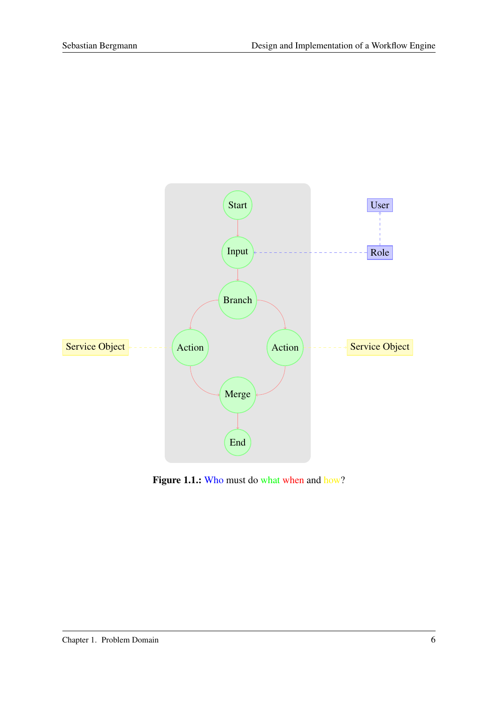

<span id="page-13-0"></span>Figure 1.1.: Who must do what when and how?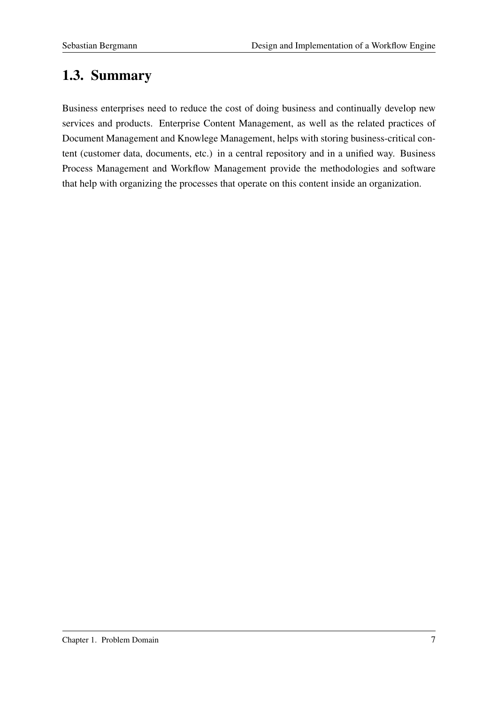# <span id="page-14-0"></span>1.3. Summary

Business enterprises need to reduce the cost of doing business and continually develop new services and products. Enterprise Content Management, as well as the related practices of Document Management and Knowlege Management, helps with storing business-critical content (customer data, documents, etc.) in a central repository and in a unified way. Business Process Management and Workflow Management provide the methodologies and software that help with organizing the processes that operate on this content inside an organization.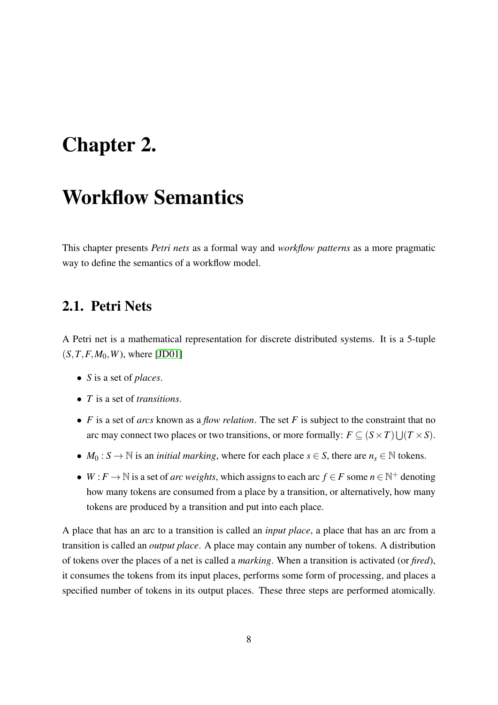# <span id="page-15-0"></span>Chapter 2.

# Workflow Semantics

This chapter presents *Petri nets* as a formal way and *workflow patterns* as a more pragmatic way to define the semantics of a workflow model.

### <span id="page-15-1"></span>2.1. Petri Nets

A Petri net is a mathematical representation for discrete distributed systems. It is a 5-tuple  $(S, T, F, M_0, W)$ , where [\[JD01\]](#page-88-2)

- *S* is a set of *places*.
- *T* is a set of *transitions*.
- *F* is a set of *arcs* known as a *flow relation*. The set *F* is subject to the constraint that no arc may connect two places or two transitions, or more formally:  $F \subseteq (S \times T) \cup (T \times S)$ .
- *M*<sub>0</sub> : *S*  $\rightarrow$  N is an *initial marking*, where for each place *s*  $\in$  *S*, there are *n<sub>s</sub>*  $\in$  N tokens.
- *W* : *F*  $\rightarrow$  N is a set of *arc weights*, which assigns to each arc *f* ∈ *F* some *n* ∈ N<sup>+</sup> denoting how many tokens are consumed from a place by a transition, or alternatively, how many tokens are produced by a transition and put into each place.

A place that has an arc to a transition is called an *input place*, a place that has an arc from a transition is called an *output place*. A place may contain any number of tokens. A distribution of tokens over the places of a net is called a *marking*. When a transition is activated (or *fired*), it consumes the tokens from its input places, performs some form of processing, and places a specified number of tokens in its output places. These three steps are performed atomically.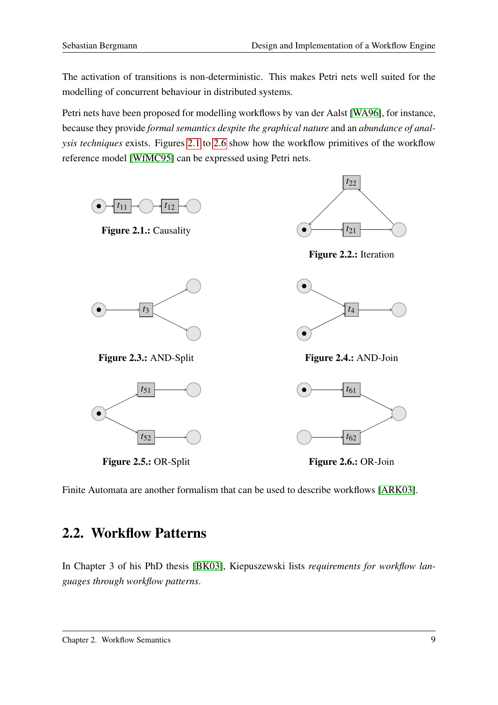The activation of transitions is non-deterministic. This makes Petri nets well suited for the modelling of concurrent behaviour in distributed systems.

Petri nets have been proposed for modelling workflows by van der Aalst [\[WA96\]](#page-89-3), for instance, because they provide *formal semantics despite the graphical nature* and an *abundance of analysis techniques* exists. Figures [2.1](#page-16-1) to [2.6](#page-16-6) show how the workflow primitives of the workflow reference model [\[WfMC95\]](#page-90-0) can be expressed using Petri nets.

<span id="page-16-2"></span><span id="page-16-1"></span>

<span id="page-16-6"></span><span id="page-16-5"></span><span id="page-16-4"></span><span id="page-16-3"></span>Finite Automata are another formalism that can be used to describe workflows [\[ARK03\]](#page-87-5).

### <span id="page-16-0"></span>2.2. Workflow Patterns

In Chapter 3 of his PhD thesis [\[BK03\]](#page-87-0), Kiepuszewski lists *requirements for workflow languages through workflow patterns*.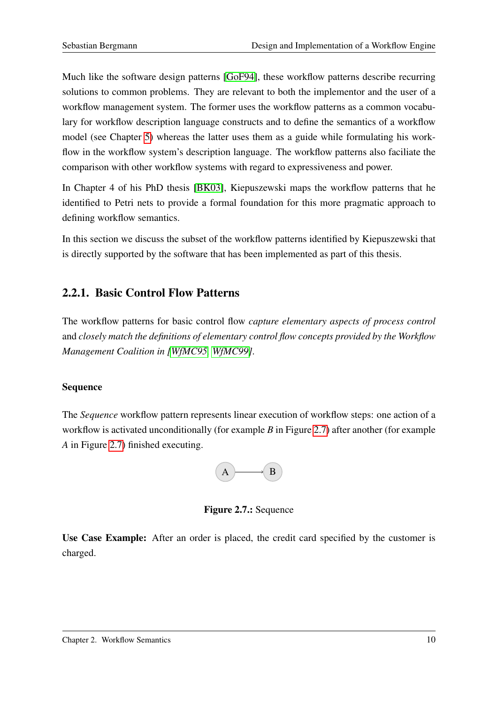Much like the software design patterns [\[GoF94\]](#page-88-3), these workflow patterns describe recurring solutions to common problems. They are relevant to both the implementor and the user of a workflow management system. The former uses the workflow patterns as a common vocabulary for workflow description language constructs and to define the semantics of a workflow model (see Chapter [5\)](#page-34-0) whereas the latter uses them as a guide while formulating his workflow in the workflow system's description language. The workflow patterns also faciliate the comparison with other workflow systems with regard to expressiveness and power.

In Chapter 4 of his PhD thesis [\[BK03\]](#page-87-0), Kiepuszewski maps the workflow patterns that he identified to Petri nets to provide a formal foundation for this more pragmatic approach to defining workflow semantics.

In this section we discuss the subset of the workflow patterns identified by Kiepuszewski that is directly supported by the software that has been implemented as part of this thesis.

### <span id="page-17-0"></span>2.2.1. Basic Control Flow Patterns

The workflow patterns for basic control flow *capture elementary aspects of process control* and *closely match the definitions of elementary control flow concepts provided by the Workflow Management Coalition in [\[WfMC95,](#page-90-0) [WfMC99\]](#page-90-1)*.

#### Sequence

The *Sequence* workflow pattern represents linear execution of workflow steps: one action of a workflow is activated unconditionally (for example *B* in Figure [2.7\)](#page-17-1) after another (for example *A* in Figure [2.7\)](#page-17-1) finished executing.



<span id="page-17-1"></span>Figure 2.7.: Sequence

Use Case Example: After an order is placed, the credit card specified by the customer is charged.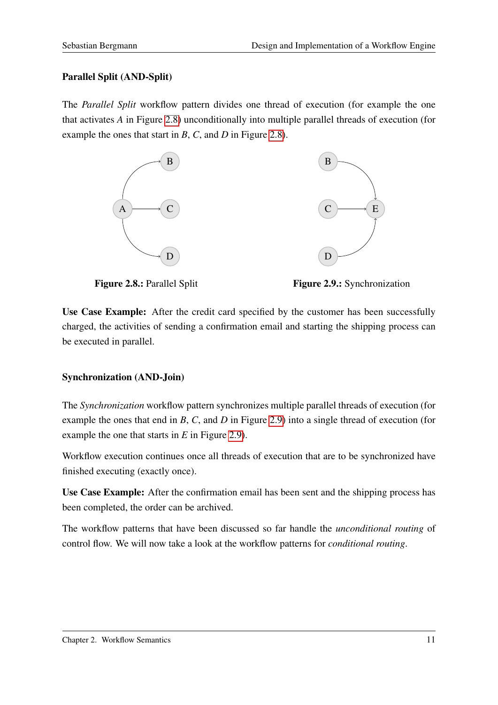#### Parallel Split (AND-Split)

The *Parallel Split* workflow pattern divides one thread of execution (for example the one that activates *A* in Figure [2.8\)](#page-18-0) unconditionally into multiple parallel threads of execution (for example the ones that start in *B*, *C*, and *D* in Figure [2.8\)](#page-18-0).



<span id="page-18-0"></span>

<span id="page-18-1"></span>Figure 2.9.: Synchronization

Use Case Example: After the credit card specified by the customer has been successfully charged, the activities of sending a confirmation email and starting the shipping process can be executed in parallel.

#### Synchronization (AND-Join)

The *Synchronization* workflow pattern synchronizes multiple parallel threads of execution (for example the ones that end in *B*, *C*, and *D* in Figure [2.9\)](#page-18-1) into a single thread of execution (for example the one that starts in *E* in Figure [2.9\)](#page-18-1).

Workflow execution continues once all threads of execution that are to be synchronized have finished executing (exactly once).

Use Case Example: After the confirmation email has been sent and the shipping process has been completed, the order can be archived.

The workflow patterns that have been discussed so far handle the *unconditional routing* of control flow. We will now take a look at the workflow patterns for *conditional routing*.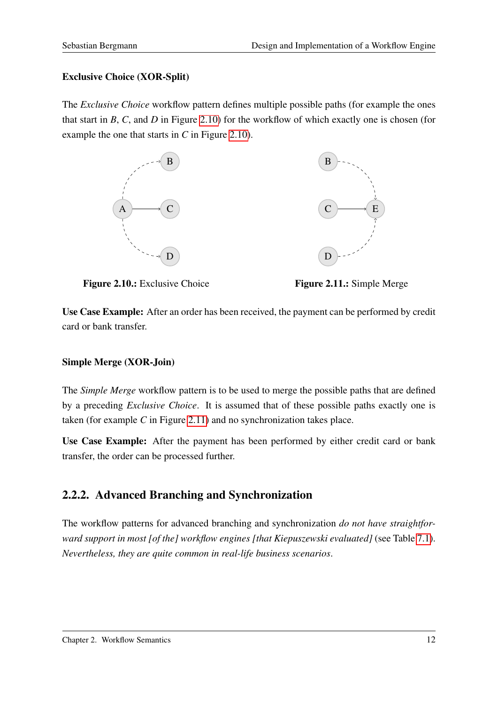#### Exclusive Choice (XOR-Split)

The *Exclusive Choice* workflow pattern defines multiple possible paths (for example the ones that start in *B*, *C*, and *D* in Figure [2.10\)](#page-19-1) for the workflow of which exactly one is chosen (for example the one that starts in *C* in Figure [2.10\)](#page-19-1).





<span id="page-19-1"></span>

<span id="page-19-2"></span>Figure 2.11.: Simple Merge

Use Case Example: After an order has been received, the payment can be performed by credit card or bank transfer.

#### Simple Merge (XOR-Join)

The *Simple Merge* workflow pattern is to be used to merge the possible paths that are defined by a preceding *Exclusive Choice*. It is assumed that of these possible paths exactly one is taken (for example *C* in Figure [2.11\)](#page-19-2) and no synchronization takes place.

Use Case Example: After the payment has been performed by either credit card or bank transfer, the order can be processed further.

### <span id="page-19-0"></span>2.2.2. Advanced Branching and Synchronization

The workflow patterns for advanced branching and synchronization *do not have straightforward support in most [of the] workflow engines [that Kiepuszewski evaluated]* (see Table [7.1\)](#page-50-0). *Nevertheless, they are quite common in real-life business scenarios*.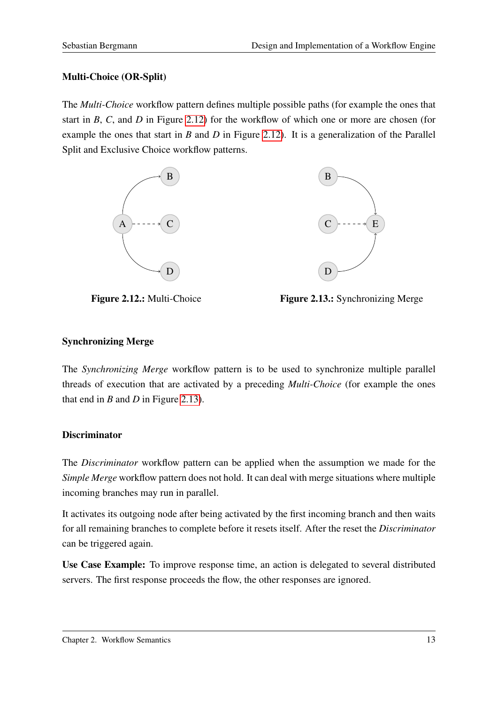#### Multi-Choice (OR-Split)

The *Multi-Choice* workflow pattern defines multiple possible paths (for example the ones that start in *B*, *C*, and *D* in Figure [2.12\)](#page-20-0) for the workflow of which one or more are chosen (for example the ones that start in *B* and *D* in Figure [2.12\)](#page-20-0). It is a generalization of the Parallel Split and Exclusive Choice workflow patterns.





<span id="page-20-0"></span>Figure 2.12.: Multi-Choice

<span id="page-20-1"></span>Figure 2.13.: Synchronizing Merge

#### Synchronizing Merge

The *Synchronizing Merge* workflow pattern is to be used to synchronize multiple parallel threads of execution that are activated by a preceding *Multi-Choice* (for example the ones that end in *B* and *D* in Figure [2.13\)](#page-20-1).

#### **Discriminator**

The *Discriminator* workflow pattern can be applied when the assumption we made for the *Simple Merge* workflow pattern does not hold. It can deal with merge situations where multiple incoming branches may run in parallel.

It activates its outgoing node after being activated by the first incoming branch and then waits for all remaining branches to complete before it resets itself. After the reset the *Discriminator* can be triggered again.

Use Case Example: To improve response time, an action is delegated to several distributed servers. The first response proceeds the flow, the other responses are ignored.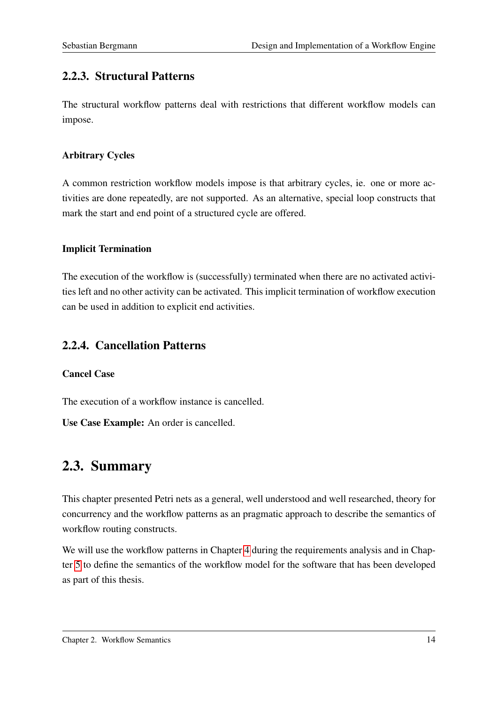### <span id="page-21-0"></span>2.2.3. Structural Patterns

The structural workflow patterns deal with restrictions that different workflow models can impose.

#### Arbitrary Cycles

A common restriction workflow models impose is that arbitrary cycles, ie. one or more activities are done repeatedly, are not supported. As an alternative, special loop constructs that mark the start and end point of a structured cycle are offered.

#### Implicit Termination

The execution of the workflow is (successfully) terminated when there are no activated activities left and no other activity can be activated. This implicit termination of workflow execution can be used in addition to explicit end activities.

#### <span id="page-21-1"></span>2.2.4. Cancellation Patterns

#### Cancel Case

The execution of a workflow instance is cancelled.

Use Case Example: An order is cancelled.

### <span id="page-21-2"></span>2.3. Summary

This chapter presented Petri nets as a general, well understood and well researched, theory for concurrency and the workflow patterns as an pragmatic approach to describe the semantics of workflow routing constructs.

We will use the workflow patterns in Chapter [4](#page-27-0) during the requirements analysis and in Chapter [5](#page-34-0) to define the semantics of the workflow model for the software that has been developed as part of this thesis.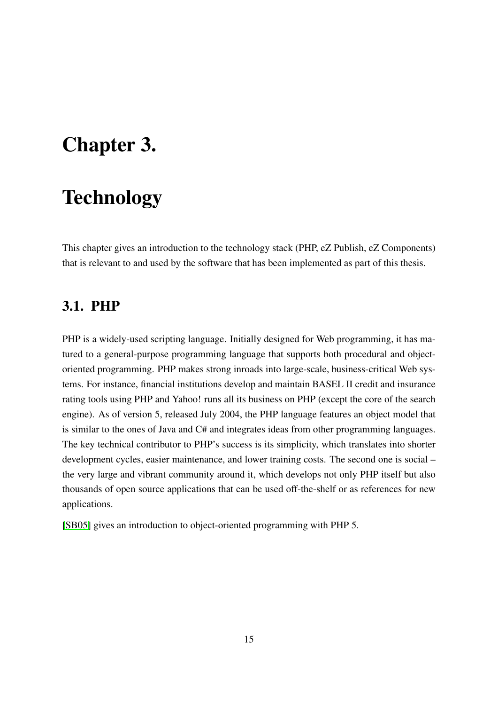# <span id="page-22-0"></span>Chapter 3.

# **Technology**

This chapter gives an introduction to the technology stack (PHP, eZ Publish, eZ Components) that is relevant to and used by the software that has been implemented as part of this thesis.

### <span id="page-22-1"></span>3.1. PHP

PHP is a widely-used scripting language. Initially designed for Web programming, it has matured to a general-purpose programming language that supports both procedural and objectoriented programming. PHP makes strong inroads into large-scale, business-critical Web systems. For instance, financial institutions develop and maintain BASEL II credit and insurance rating tools using PHP and Yahoo! runs all its business on PHP (except the core of the search engine). As of version 5, released July 2004, the PHP language features an object model that is similar to the ones of Java and C# and integrates ideas from other programming languages. The key technical contributor to PHP's success is its simplicity, which translates into shorter development cycles, easier maintenance, and lower training costs. The second one is social – the very large and vibrant community around it, which develops not only PHP itself but also thousands of open source applications that can be used off-the-shelf or as references for new applications.

[\[SB05\]](#page-89-4) gives an introduction to object-oriented programming with PHP 5.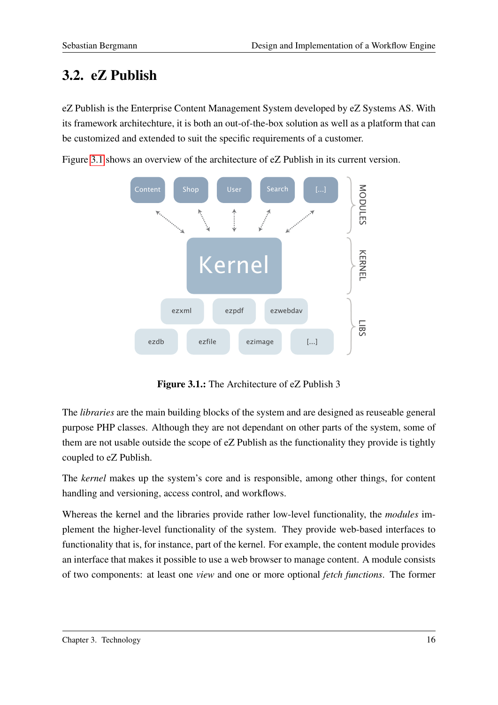# <span id="page-23-0"></span>3.2. eZ Publish

eZ Publish is the Enterprise Content Management System developed by eZ Systems AS. With its framework architechture, it is both an out-of-the-box solution as well as a platform that can be customized and extended to suit the specific requirements of a customer.

Figure [3.1](#page-23-1) shows an overview of the architecture of eZ Publish in its current version.



<span id="page-23-1"></span>Figure 3.1.: The Architecture of eZ Publish 3

The *libraries* are the main building blocks of the system and are designed as reuseable general purpose PHP classes. Although they are not dependant on other parts of the system, some of them are not usable outside the scope of eZ Publish as the functionality they provide is tightly coupled to eZ Publish.

The *kernel* makes up the system's core and is responsible, among other things, for content handling and versioning, access control, and workflows.

Whereas the kernel and the libraries provide rather low-level functionality, the *modules* implement the higher-level functionality of the system. They provide web-based interfaces to functionality that is, for instance, part of the kernel. For example, the content module provides an interface that makes it possible to use a web browser to manage content. A module consists of two components: at least one *view* and one or more optional *fetch functions*. The former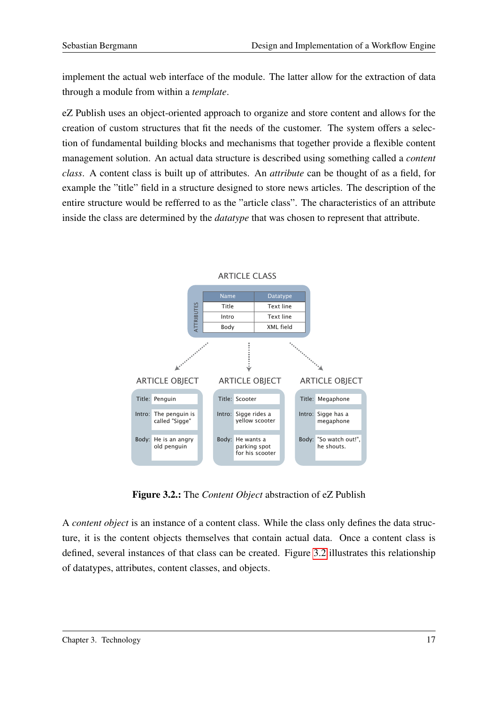implement the actual web interface of the module. The latter allow for the extraction of data through a module from within a *template*.

eZ Publish uses an object-oriented approach to organize and store content and allows for the creation of custom structures that fit the needs of the customer. The system offers a selection of fundamental building blocks and mechanisms that together provide a flexible content management solution. An actual data structure is described using something called a *content class*. A content class is built up of attributes. An *attribute* can be thought of as a field, for example the "title" field in a structure designed to store news articles. The description of the entire structure would be refferred to as the "article class". The characteristics of an attribute inside the class are determined by the *datatype* that was chosen to represent that attribute.



<span id="page-24-0"></span>

Figure 3.2.: The *Content Object* abstraction of eZ Publish

A *content object* is an instance of a content class. While the class only defines the data structure, it is the content objects themselves that contain actual data. Once a content class is defined, several instances of that class can be created. Figure [3.2](#page-24-0) illustrates this relationship of datatypes, attributes, content classes, and objects.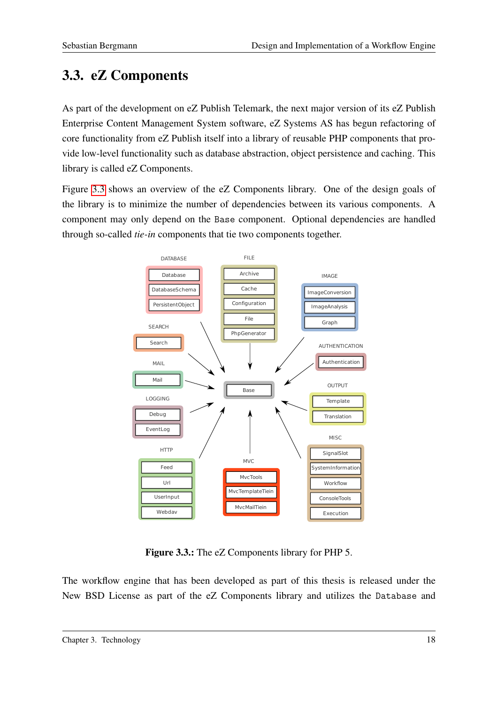# <span id="page-25-0"></span>3.3. eZ Components

As part of the development on eZ Publish Telemark, the next major version of its eZ Publish Enterprise Content Management System software, eZ Systems AS has begun refactoring of core functionality from eZ Publish itself into a library of reusable PHP components that provide low-level functionality such as database abstraction, object persistence and caching. This library is called eZ Components.

Figure [3.3](#page-25-1) shows an overview of the eZ Components library. One of the design goals of the library is to minimize the number of dependencies between its various components. A component may only depend on the Base component. Optional dependencies are handled through so-called *tie-in* components that tie two components together.



<span id="page-25-1"></span>Figure 3.3.: The eZ Components library for PHP 5.

The workflow engine that has been developed as part of this thesis is released under the New BSD License as part of the eZ Components library and utilizes the Database and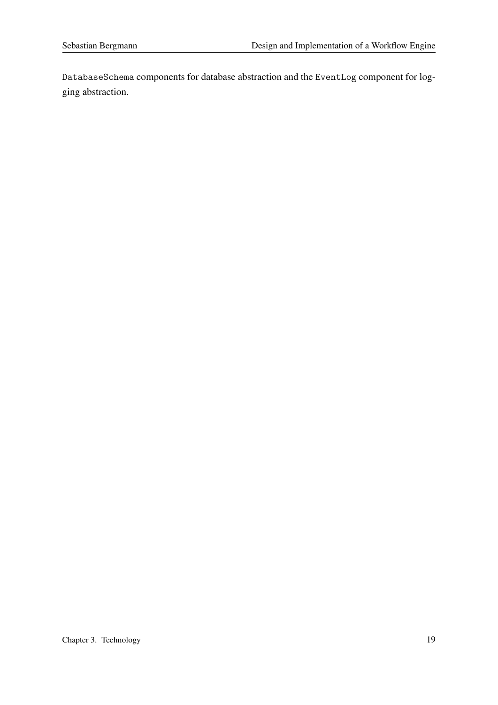DatabaseSchema components for database abstraction and the EventLog component for logging abstraction.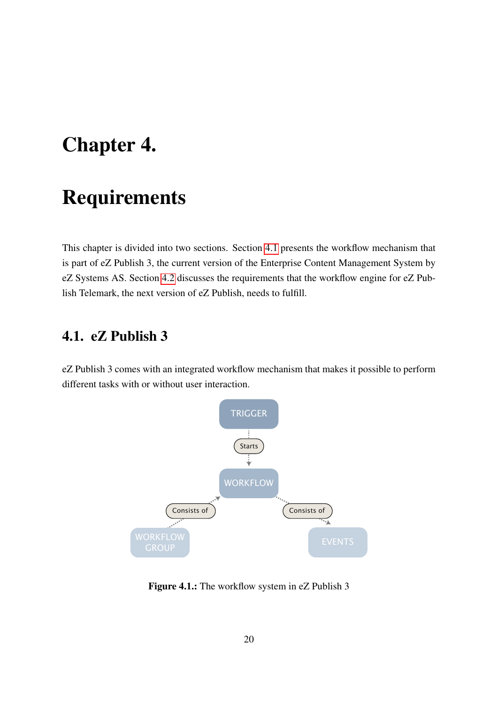# <span id="page-27-0"></span>Chapter 4.

# Requirements

This chapter is divided into two sections. Section [4.1](#page-27-1) presents the workflow mechanism that is part of eZ Publish 3, the current version of the Enterprise Content Management System by eZ Systems AS. Section [4.2](#page-28-0) discusses the requirements that the workflow engine for eZ Publish Telemark, the next version of eZ Publish, needs to fulfill.

### <span id="page-27-1"></span>4.1. eZ Publish 3

eZ Publish 3 comes with an integrated workflow mechanism that makes it possible to perform different tasks with or without user interaction.



<span id="page-27-2"></span>Figure 4.1.: The workflow system in eZ Publish 3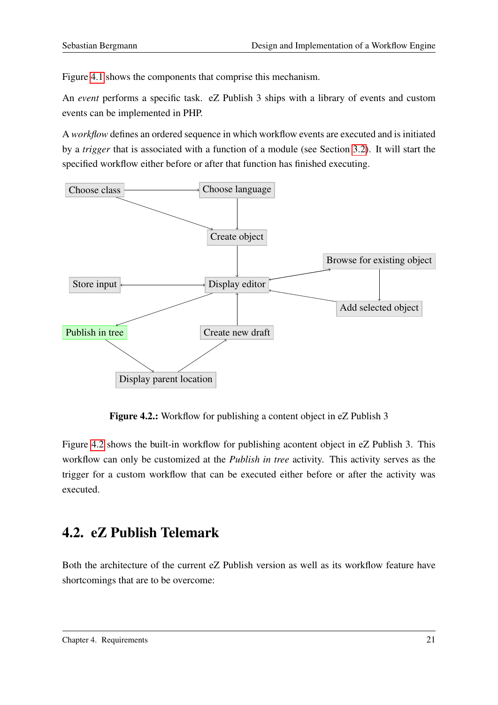Figure [4.1](#page-27-2) shows the components that comprise this mechanism.

An *event* performs a specific task. eZ Publish 3 ships with a library of events and custom events can be implemented in PHP.

A *workflow* defines an ordered sequence in which workflow events are executed and is initiated by a *trigger* that is associated with a function of a module (see Section [3.2\)](#page-23-0). It will start the specified workflow either before or after that function has finished executing.



<span id="page-28-1"></span>Figure 4.2.: Workflow for publishing a content object in eZ Publish 3

Figure [4.2](#page-28-1) shows the built-in workflow for publishing acontent object in eZ Publish 3. This workflow can only be customized at the *Publish in tree* activity. This activity serves as the trigger for a custom workflow that can be executed either before or after the activity was executed.

### <span id="page-28-0"></span>4.2. eZ Publish Telemark

Both the architecture of the current eZ Publish version as well as its workflow feature have shortcomings that are to be overcome: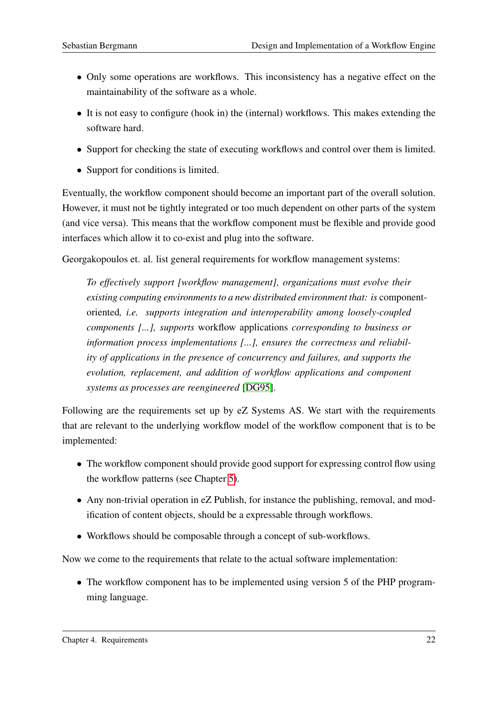- Only some operations are workflows. This inconsistency has a negative effect on the maintainability of the software as a whole.
- It is not easy to configure (hook in) the (internal) workflows. This makes extending the software hard.
- Support for checking the state of executing workflows and control over them is limited.
- Support for conditions is limited.

Eventually, the workflow component should become an important part of the overall solution. However, it must not be tightly integrated or too much dependent on other parts of the system (and vice versa). This means that the workflow component must be flexible and provide good interfaces which allow it to co-exist and plug into the software.

Georgakopoulos et. al. list general requirements for workflow management systems:

*To effectively support [workflow management], organizations must evolve their existing computing environments to a new distributed environment that: is* componentoriented*, i.e. supports integration and interoperability among loosely-coupled components [...], supports* workflow applications *corresponding to business or information process implementations [...], ensures the correctness and reliability of applications in the presence of concurrency and failures, and supports the evolution, replacement, and addition of workflow applications and component systems as processes are reengineered* [\[DG95\]](#page-87-2).

Following are the requirements set up by eZ Systems AS. We start with the requirements that are relevant to the underlying workflow model of the workflow component that is to be implemented:

- The workflow component should provide good support for expressing control flow using the workflow patterns (see Chapter [5\)](#page-34-0).
- Any non-trivial operation in eZ Publish, for instance the publishing, removal, and modification of content objects, should be a expressable through workflows.
- Workflows should be composable through a concept of sub-workflows.

Now we come to the requirements that relate to the actual software implementation:

• The workflow component has to be implemented using version 5 of the PHP programming language.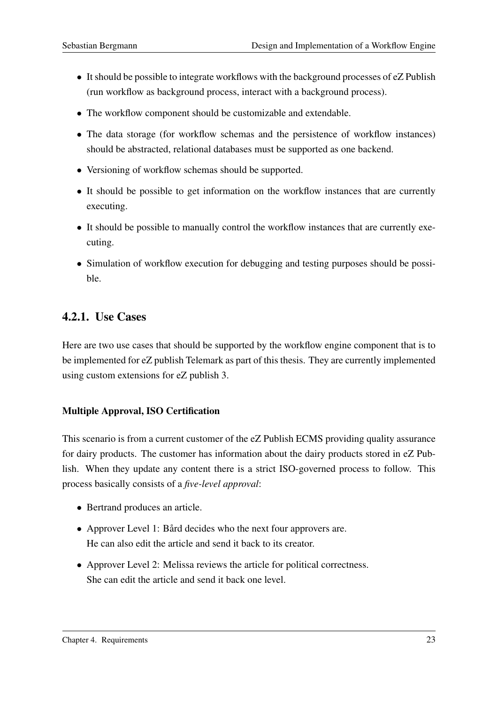- It should be possible to integrate workflows with the background processes of eZ Publish (run workflow as background process, interact with a background process).
- The workflow component should be customizable and extendable.
- The data storage (for workflow schemas and the persistence of workflow instances) should be abstracted, relational databases must be supported as one backend.
- Versioning of workflow schemas should be supported.
- It should be possible to get information on the workflow instances that are currently executing.
- It should be possible to manually control the workflow instances that are currently executing.
- Simulation of workflow execution for debugging and testing purposes should be possible.

### <span id="page-30-0"></span>4.2.1. Use Cases

Here are two use cases that should be supported by the workflow engine component that is to be implemented for eZ publish Telemark as part of this thesis. They are currently implemented using custom extensions for eZ publish 3.

#### Multiple Approval, ISO Certification

This scenario is from a current customer of the eZ Publish ECMS providing quality assurance for dairy products. The customer has information about the dairy products stored in eZ Publish. When they update any content there is a strict ISO-governed process to follow. This process basically consists of a *five-level approval*:

- Bertrand produces an article.
- Approver Level 1: Bård decides who the next four approvers are. He can also edit the article and send it back to its creator.
- Approver Level 2: Melissa reviews the article for political correctness. She can edit the article and send it back one level.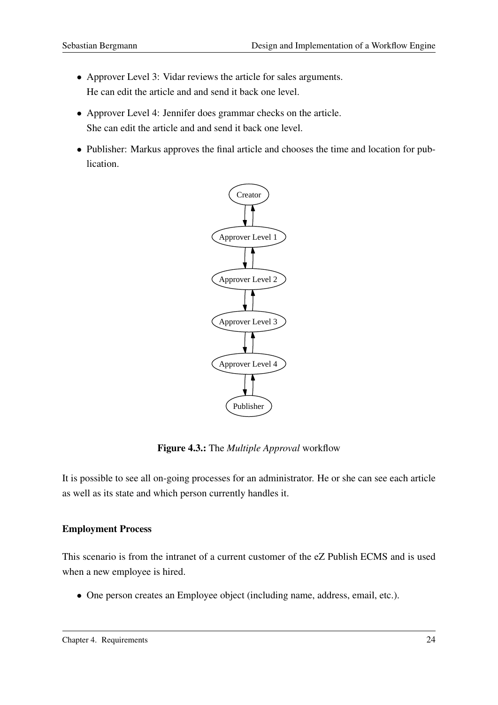- Approver Level 3: Vidar reviews the article for sales arguments. He can edit the article and and send it back one level.
- Approver Level 4: Jennifer does grammar checks on the article. She can edit the article and and send it back one level.
- Publisher: Markus approves the final article and chooses the time and location for publication.



<span id="page-31-0"></span>Figure 4.3.: The *Multiple Approval* workflow

It is possible to see all on-going processes for an administrator. He or she can see each article as well as its state and which person currently handles it.

#### Employment Process

This scenario is from the intranet of a current customer of the eZ Publish ECMS and is used when a new employee is hired.

• One person creates an Employee object (including name, address, email, etc.).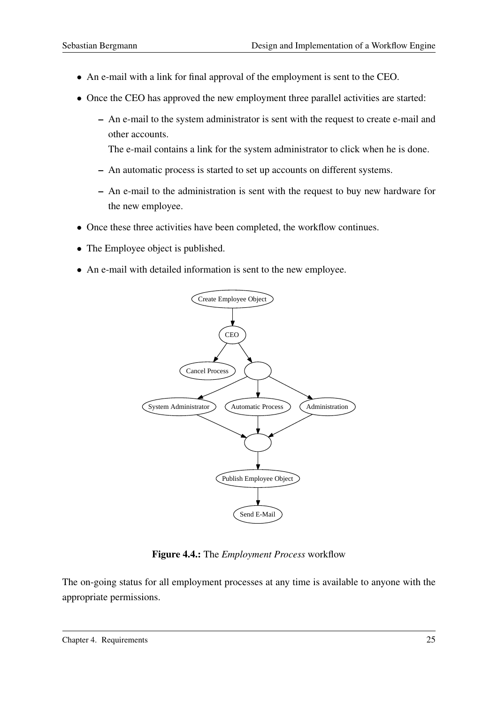- An e-mail with a link for final approval of the employment is sent to the CEO.
- Once the CEO has approved the new employment three parallel activities are started:
	- An e-mail to the system administrator is sent with the request to create e-mail and other accounts.
		- The e-mail contains a link for the system administrator to click when he is done.
	- An automatic process is started to set up accounts on different systems.
	- An e-mail to the administration is sent with the request to buy new hardware for the new employee.
- Once these three activities have been completed, the workflow continues.
- The Employee object is published.
- An e-mail with detailed information is sent to the new employee.



<span id="page-32-0"></span>Figure 4.4.: The *Employment Process* workflow

The on-going status for all employment processes at any time is available to anyone with the appropriate permissions.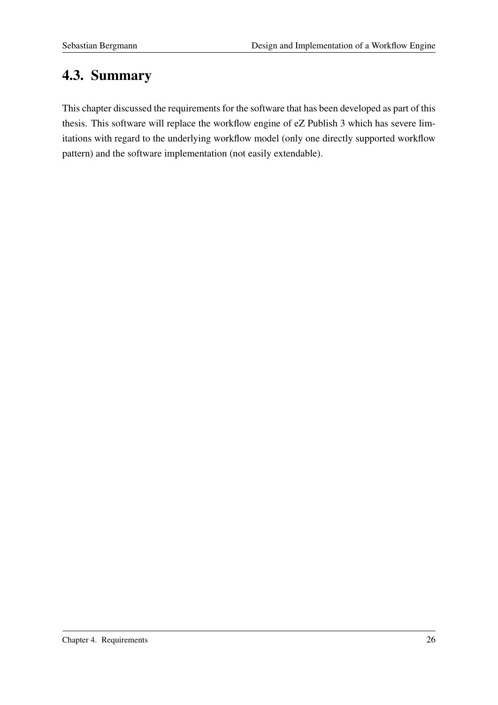# <span id="page-33-0"></span>4.3. Summary

This chapter discussed the requirements for the software that has been developed as part of this thesis. This software will replace the workflow engine of eZ Publish 3 which has severe limitations with regard to the underlying workflow model (only one directly supported workflow pattern) and the software implementation (not easily extendable).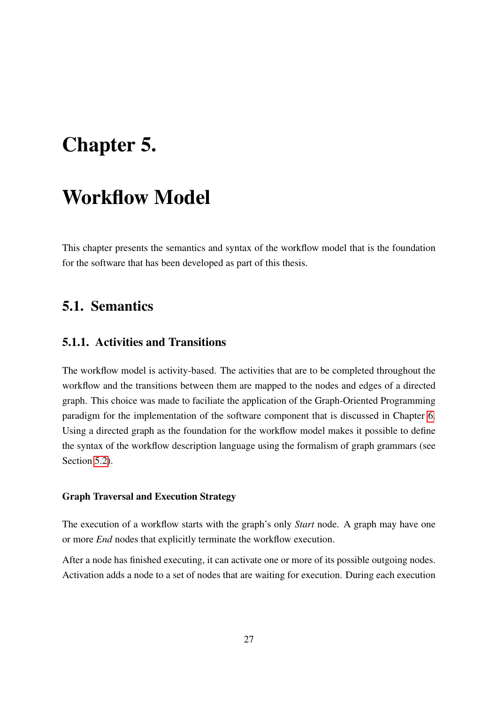# <span id="page-34-0"></span>Chapter 5.

# Workflow Model

This chapter presents the semantics and syntax of the workflow model that is the foundation for the software that has been developed as part of this thesis.

### <span id="page-34-1"></span>5.1. Semantics

#### <span id="page-34-2"></span>5.1.1. Activities and Transitions

The workflow model is activity-based. The activities that are to be completed throughout the workflow and the transitions between them are mapped to the nodes and edges of a directed graph. This choice was made to faciliate the application of the Graph-Oriented Programming paradigm for the implementation of the software component that is discussed in Chapter [6.](#page-39-0) Using a directed graph as the foundation for the workflow model makes it possible to define the syntax of the workflow description language using the formalism of graph grammars (see Section [5.2\)](#page-36-2).

#### Graph Traversal and Execution Strategy

The execution of a workflow starts with the graph's only *Start* node. A graph may have one or more *End* nodes that explicitly terminate the workflow execution.

After a node has finished executing, it can activate one or more of its possible outgoing nodes. Activation adds a node to a set of nodes that are waiting for execution. During each execution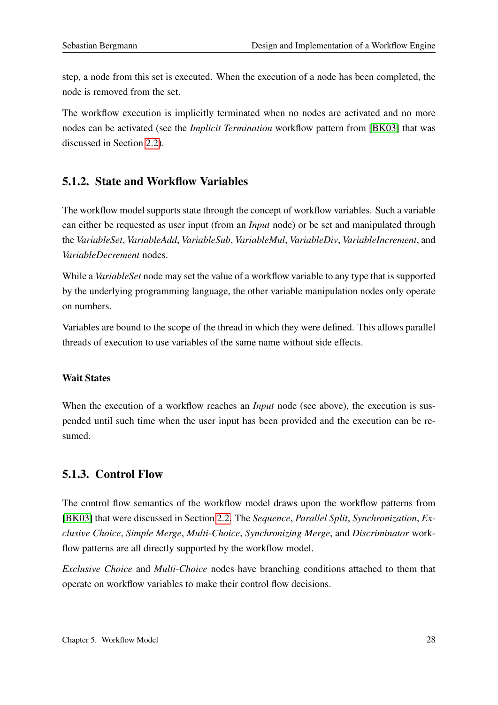step, a node from this set is executed. When the execution of a node has been completed, the node is removed from the set.

The workflow execution is implicitly terminated when no nodes are activated and no more nodes can be activated (see the *Implicit Termination* workflow pattern from [\[BK03\]](#page-87-0) that was discussed in Section [2.2\)](#page-16-0).

### <span id="page-35-0"></span>5.1.2. State and Workflow Variables

The workflow model supports state through the concept of workflow variables. Such a variable can either be requested as user input (from an *Input* node) or be set and manipulated through the *VariableSet*, *VariableAdd*, *VariableSub*, *VariableMul*, *VariableDiv*, *VariableIncrement*, and *VariableDecrement* nodes.

While a *VariableSet* node may set the value of a workflow variable to any type that is supported by the underlying programming language, the other variable manipulation nodes only operate on numbers.

Variables are bound to the scope of the thread in which they were defined. This allows parallel threads of execution to use variables of the same name without side effects.

#### Wait States

When the execution of a workflow reaches an *Input* node (see above), the execution is suspended until such time when the user input has been provided and the execution can be resumed.

### <span id="page-35-1"></span>5.1.3. Control Flow

The control flow semantics of the workflow model draws upon the workflow patterns from [\[BK03\]](#page-87-0) that were discussed in Section [2.2.](#page-16-0) The *Sequence*, *Parallel Split*, *Synchronization*, *Exclusive Choice*, *Simple Merge*, *Multi-Choice*, *Synchronizing Merge*, and *Discriminator* workflow patterns are all directly supported by the workflow model.

*Exclusive Choice* and *Multi-Choice* nodes have branching conditions attached to them that operate on workflow variables to make their control flow decisions.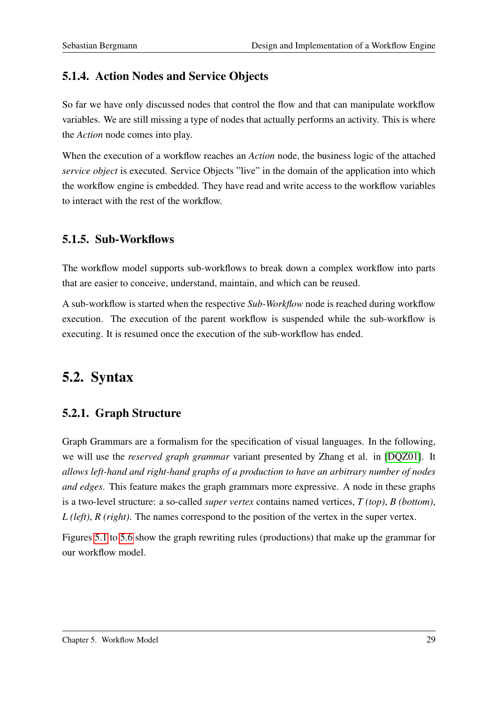## 5.1.4. Action Nodes and Service Objects

So far we have only discussed nodes that control the flow and that can manipulate workflow variables. We are still missing a type of nodes that actually performs an activity. This is where the *Action* node comes into play.

When the execution of a workflow reaches an *Action* node, the business logic of the attached *service object* is executed. Service Objects "live" in the domain of the application into which the workflow engine is embedded. They have read and write access to the workflow variables to interact with the rest of the workflow.

## 5.1.5. Sub-Workflows

The workflow model supports sub-workflows to break down a complex workflow into parts that are easier to conceive, understand, maintain, and which can be reused.

A sub-workflow is started when the respective *Sub-Workflow* node is reached during workflow execution. The execution of the parent workflow is suspended while the sub-workflow is executing. It is resumed once the execution of the sub-workflow has ended.

## 5.2. Syntax

## 5.2.1. Graph Structure

Graph Grammars are a formalism for the specification of visual languages. In the following, we will use the *reserved graph grammar* variant presented by Zhang et al. in [\[DQZ01\]](#page-87-0). It *allows left-hand and right-hand graphs of a production to have an arbitrary number of nodes and edges*. This feature makes the graph grammars more expressive. A node in these graphs is a two-level structure: a so-called *super vertex* contains named vertices, *T (top)*, *B (bottom)*, *L (left)*, *R (right)*. The names correspond to the position of the vertex in the super vertex.

Figures [5.1](#page-37-0) to [5.6](#page-38-0) show the graph rewriting rules (productions) that make up the grammar for our workflow model.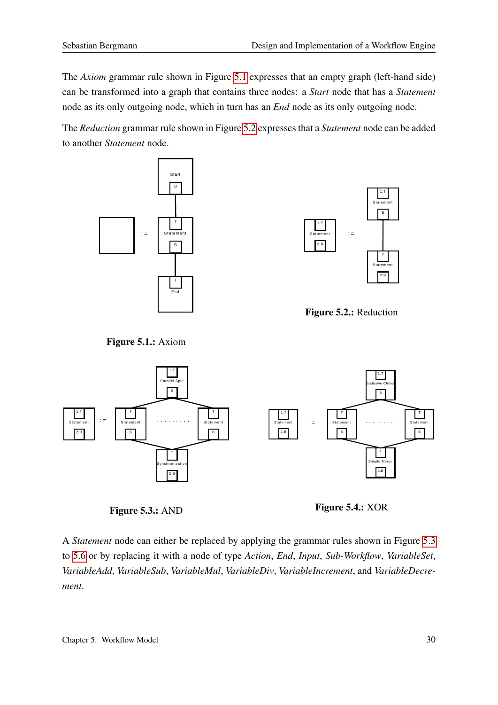The *Axiom* grammar rule shown in Figure [5.1](#page-37-0) expresses that an empty graph (left-hand side) can be transformed into a graph that contains three nodes: a *Start* node that has a *Statement* node as its only outgoing node, which in turn has an *End* node as its only outgoing node.

The *Reduction* grammar rule shown in Figure [5.2](#page-37-1) expresses that a *Statement* node can be added to another *Statement* node.





<span id="page-37-1"></span>Figure 5.2.: Reduction

<span id="page-37-0"></span>Figure 5.1.: Axiom



<span id="page-37-2"></span>

Figure 5.4.: XOR

A *Statement* node can either be replaced by applying the grammar rules shown in Figure [5.3](#page-37-2) to [5.6](#page-38-0) or by replacing it with a node of type *Action*, *End*, *Input*, *Sub-Workflow*, *VariableSet*, *VariableAdd*, *VariableSub*, *VariableMul*, *VariableDiv*, *VariableIncrement*, and *VariableDecrement*.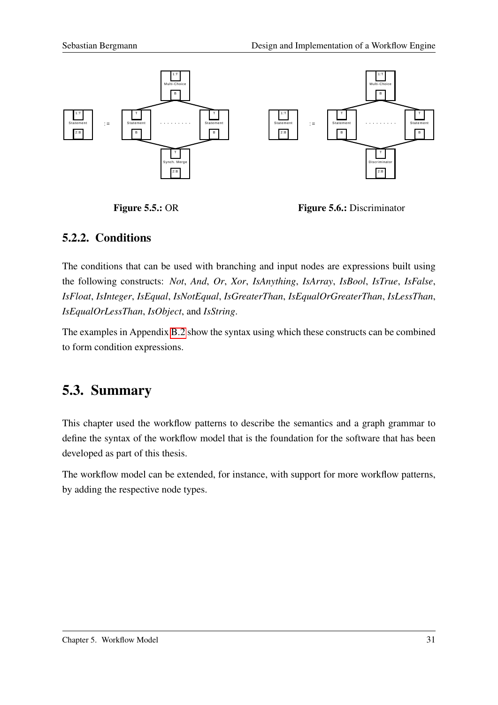

Figure 5.5.: OR

<span id="page-38-0"></span>Figure 5.6.: Discriminator

### 5.2.2. Conditions

The conditions that can be used with branching and input nodes are expressions built using the following constructs: *Not*, *And*, *Or*, *Xor*, *IsAnything*, *IsArray*, *IsBool*, *IsTrue*, *IsFalse*, *IsFloat*, *IsInteger*, *IsEqual*, *IsNotEqual*, *IsGreaterThan*, *IsEqualOrGreaterThan*, *IsLessThan*, *IsEqualOrLessThan*, *IsObject*, and *IsString*.

The examples in Appendix [B.2](#page-78-0) show the syntax using which these constructs can be combined to form condition expressions.

## 5.3. Summary

This chapter used the workflow patterns to describe the semantics and a graph grammar to define the syntax of the workflow model that is the foundation for the software that has been developed as part of this thesis.

The workflow model can be extended, for instance, with support for more workflow patterns, by adding the respective node types.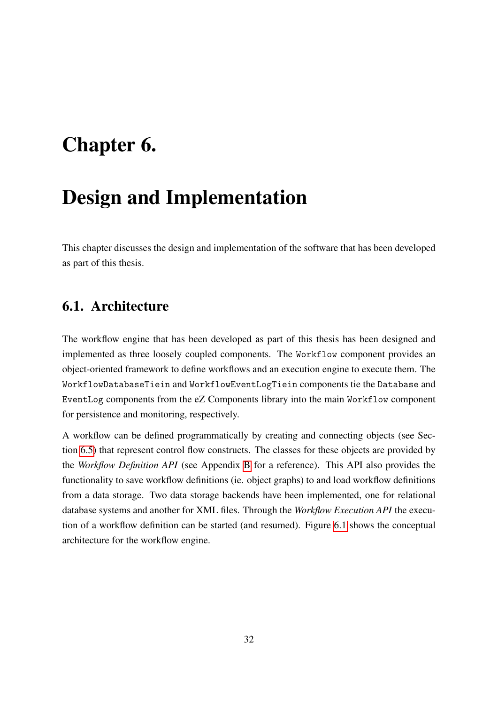# <span id="page-39-0"></span>Chapter 6.

# Design and Implementation

This chapter discusses the design and implementation of the software that has been developed as part of this thesis.

## 6.1. Architecture

The workflow engine that has been developed as part of this thesis has been designed and implemented as three loosely coupled components. The Workflow component provides an object-oriented framework to define workflows and an execution engine to execute them. The WorkflowDatabaseTiein and WorkflowEventLogTiein components tie the Database and EventLog components from the eZ Components library into the main Workflow component for persistence and monitoring, respectively.

A workflow can be defined programmatically by creating and connecting objects (see Section [6.5\)](#page-45-0) that represent control flow constructs. The classes for these objects are provided by the *Workflow Definition API* (see Appendix [B](#page-67-0) for a reference). This API also provides the functionality to save workflow definitions (ie. object graphs) to and load workflow definitions from a data storage. Two data storage backends have been implemented, one for relational database systems and another for XML files. Through the *Workflow Execution API* the execution of a workflow definition can be started (and resumed). Figure [6.1](#page-40-0) shows the conceptual architecture for the workflow engine.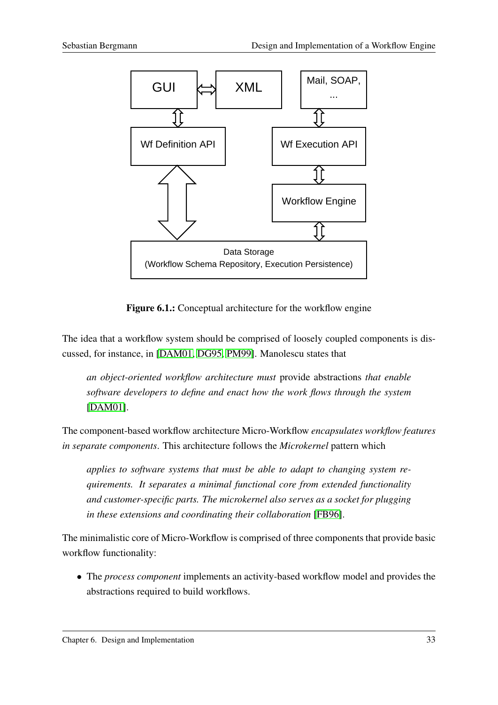

<span id="page-40-0"></span>Figure 6.1.: Conceptual architecture for the workflow engine

The idea that a workflow system should be comprised of loosely coupled components is discussed, for instance, in [\[DAM01,](#page-87-1) [DG95,](#page-87-2) [PM99\]](#page-89-0). Manolescu states that

*an object-oriented workflow architecture must* provide abstractions *that enable software developers to define and enact how the work flows through the system* [\[DAM01\]](#page-87-1).

The component-based workflow architecture Micro-Workflow *encapsulates workflow features in separate components*. This architecture follows the *Microkernel* pattern which

*applies to software systems that must be able to adapt to changing system requirements. It separates a minimal functional core from extended functionality and customer-specific parts. The microkernel also serves as a socket for plugging in these extensions and coordinating their collaboration* [\[FB96\]](#page-88-0).

The minimalistic core of Micro-Workflow is comprised of three components that provide basic workflow functionality:

• The *process component* implements an activity-based workflow model and provides the abstractions required to build workflows.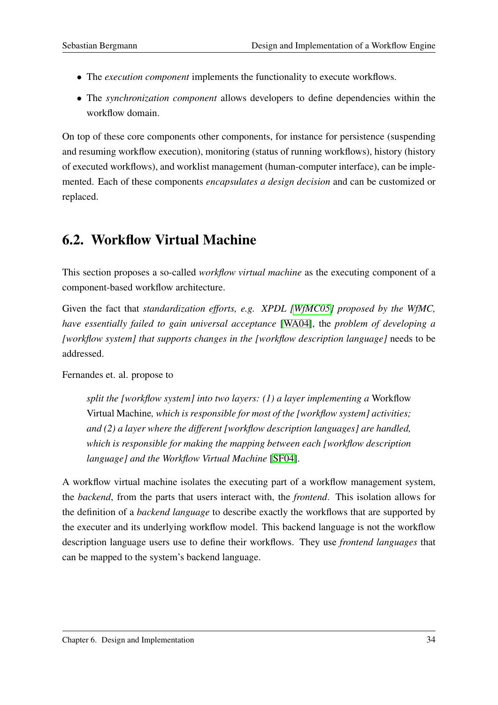- The *execution component* implements the functionality to execute workflows.
- The *synchronization component* allows developers to define dependencies within the workflow domain.

On top of these core components other components, for instance for persistence (suspending and resuming workflow execution), monitoring (status of running workflows), history (history of executed workflows), and worklist management (human-computer interface), can be implemented. Each of these components *encapsulates a design decision* and can be customized or replaced.

## <span id="page-41-0"></span>6.2. Workflow Virtual Machine

This section proposes a so-called *workflow virtual machine* as the executing component of a component-based workflow architecture.

Given the fact that *standardization efforts, e.g. XPDL [\[WfMC05\]](#page-90-0) proposed by the WfMC, have essentially failed to gain universal acceptance* [\[WA04\]](#page-90-1), the *problem of developing a [workflow system] that supports changes in the [workflow description language]* needs to be addressed.

Fernandes et. al. propose to

*split the [workflow system] into two layers: (1) a layer implementing a* Workflow Virtual Machine*, which is responsible for most of the [workflow system] activities; and (2) a layer where the different [workflow description languages] are handled, which is responsible for making the mapping between each [workflow description language] and the Workflow Virtual Machine* [\[SF04\]](#page-89-1).

A workflow virtual machine isolates the executing part of a workflow management system, the *backend*, from the parts that users interact with, the *frontend*. This isolation allows for the definition of a *backend language* to describe exactly the workflows that are supported by the executer and its underlying workflow model. This backend language is not the workflow description language users use to define their workflows. They use *frontend languages* that can be mapped to the system's backend language.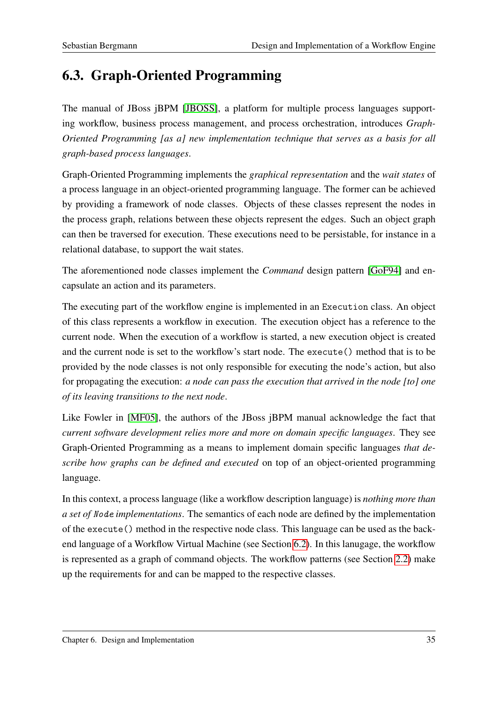# 6.3. Graph-Oriented Programming

The manual of JBoss jBPM [\[JBOSS\]](#page-88-1), a platform for multiple process languages supporting workflow, business process management, and process orchestration, introduces *Graph-Oriented Programming [as a] new implementation technique that serves as a basis for all graph-based process languages*.

Graph-Oriented Programming implements the *graphical representation* and the *wait states* of a process language in an object-oriented programming language. The former can be achieved by providing a framework of node classes. Objects of these classes represent the nodes in the process graph, relations between these objects represent the edges. Such an object graph can then be traversed for execution. These executions need to be persistable, for instance in a relational database, to support the wait states.

The aforementioned node classes implement the *Command* design pattern [\[GoF94\]](#page-88-2) and encapsulate an action and its parameters.

The executing part of the workflow engine is implemented in an Execution class. An object of this class represents a workflow in execution. The execution object has a reference to the current node. When the execution of a workflow is started, a new execution object is created and the current node is set to the workflow's start node. The execute() method that is to be provided by the node classes is not only responsible for executing the node's action, but also for propagating the execution: *a node can pass the execution that arrived in the node [to] one of its leaving transitions to the next node*.

Like Fowler in [\[MF05\]](#page-88-3), the authors of the JBoss jBPM manual acknowledge the fact that *current software development relies more and more on domain specific languages*. They see Graph-Oriented Programming as a means to implement domain specific languages *that describe how graphs can be defined and executed* on top of an object-oriented programming language.

In this context, a process language (like a workflow description language) is *nothing more than a set of* Node *implementations*. The semantics of each node are defined by the implementation of the execute() method in the respective node class. This language can be used as the backend language of a Workflow Virtual Machine (see Section [6.2\)](#page-41-0). In this lanugage, the workflow is represented as a graph of command objects. The workflow patterns (see Section [2.2\)](#page-16-0) make up the requirements for and can be mapped to the respective classes.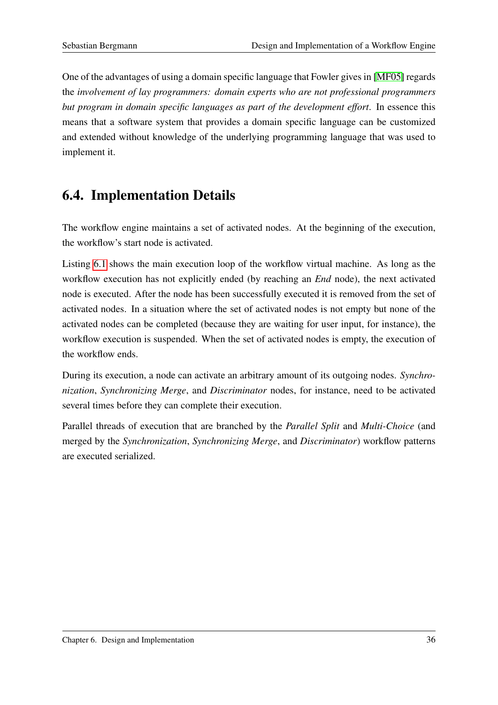One of the advantages of using a domain specific language that Fowler gives in [\[MF05\]](#page-88-3) regards the *involvement of lay programmers: domain experts who are not professional programmers but program in domain specific languages as part of the development effort*. In essence this means that a software system that provides a domain specific language can be customized and extended without knowledge of the underlying programming language that was used to implement it.

## 6.4. Implementation Details

The workflow engine maintains a set of activated nodes. At the beginning of the execution, the workflow's start node is activated.

Listing [6.1](#page-44-0) shows the main execution loop of the workflow virtual machine. As long as the workflow execution has not explicitly ended (by reaching an *End* node), the next activated node is executed. After the node has been successfully executed it is removed from the set of activated nodes. In a situation where the set of activated nodes is not empty but none of the activated nodes can be completed (because they are waiting for user input, for instance), the workflow execution is suspended. When the set of activated nodes is empty, the execution of the workflow ends.

During its execution, a node can activate an arbitrary amount of its outgoing nodes. *Synchronization*, *Synchronizing Merge*, and *Discriminator* nodes, for instance, need to be activated several times before they can complete their execution.

Parallel threads of execution that are branched by the *Parallel Split* and *Multi-Choice* (and merged by the *Synchronization*, *Synchronizing Merge*, and *Discriminator*) workflow patterns are executed serialized.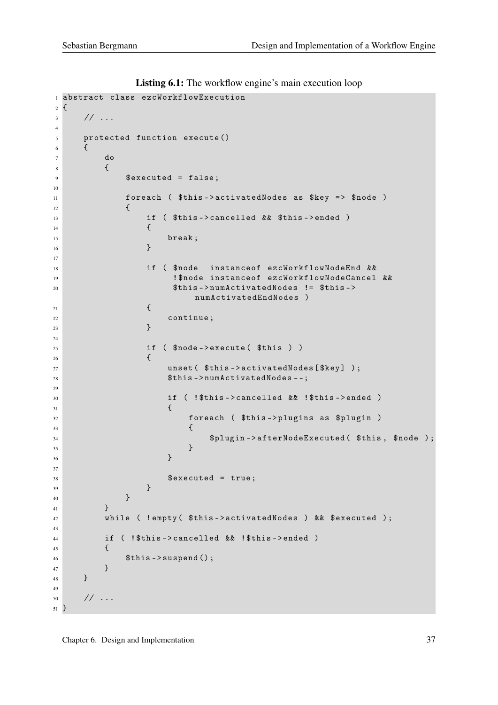```
1 abstract class ezcWorkflowExecution
2 f3 // ...
4
5 protected function execute ()
6 \qquad \qquad {
7 do
 \begin{array}{ccc} 8 & 6 \end{array}9 $executed = false;
10
11 foreach ( $this - > activatedNodes as $key = > $node )
12 \qquad \qquad13 if ( $this - > cancelled && $this - > ended )
\overline{14} \overline{14} \overline{16} \overline{16} \overline{16} \overline{16} \overline{16} \overline{16} \overline{16} \overline{16} \overline{16} \overline{16} \overline{16} \overline{16} \overline{16} \overline{16} \overline{16} \overline{16} \overline{16} \overline{16} \overline{16} \overline{16} 15 break;
\begin{array}{c} 16 \end{array} }
17
18 if ( $node instanceof ezcWorkflowNodeEnd &&
19 ! $node instanceof ezcWorkflowNodeCancel &&
20 $this - > numActivatedNodes != $this - >
                                            numActivatedEndNodes )
21 \left\{ \right\}22 continue ;
\overline{23} }
24
25 if ( $node - > execute ( $this ) )
26 \left\{ \begin{array}{ccc} \end{array} \right.27 unset ($this -> activatedNodes [$key] );
28 $this->numActivatedNodes--;
29
30 if ( ! $this - > cancelled && ! $this - > ended )
31 \qquad \qquad \qquad \qquad \qquad \qquad \qquad \qquad \qquad \qquad \qquad \qquad \qquad \qquad \qquad \qquad \qquad \qquad \qquad \qquad \qquad \qquad \qquad \qquad \qquad \qquad \qquad \qquad \qquad \qquad \qquad \qquad \qquad \qquad \qquad \qquad \q32 foreach ( $this - > plugins as $plugin )
\overline{33} \overline{33} \overline{34} \overline{35} \overline{36} \overline{36} \overline{36} \overline{36} \overline{36} \overline{36} \overline{36} \overline{36} \overline{36} \overline{36} \overline{36} \overline{36} \overline{36} \overline{36} \overline{36} \overline{36} \overline{36} \overline{36} 34 $plugin - > afterNodeExecuted ( $this , $node ) ;
\overline{\phantom{a}}35 }
36 } \}37
\text{38} \text{39} \text{30} \text{31} \text{32} \text{33} \text{34} \text{35} \text{36} \text{37} \text{38} \text{39} \text{30} \text{31} \text{32} \text{33} \text{34} \text{35} \text{36} \text{37} \text{38} \text{38} \text{39} \text{39} \text{339 }
40 }
41 }
42 while ( ! empty ( $this - > activatedNodes ) && $executed ) ;
43
44 if ( ! $this - > cancelled && ! $this - > ended )
45 \left\{ \begin{array}{c} \end{array} \right.46 $this ->suspend ();
47 }
48 }
49
50 // ...
51 }
```
Listing 6.1: The workflow engine's main execution loop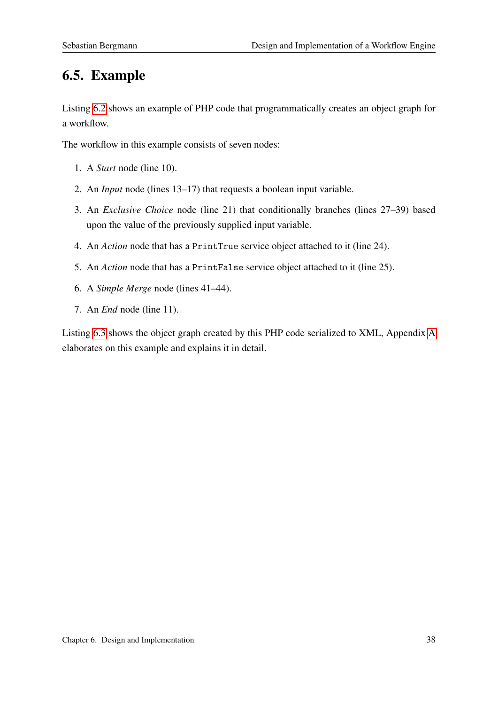# <span id="page-45-0"></span>6.5. Example

Listing [6.2](#page-46-0) shows an example of PHP code that programmatically creates an object graph for a workflow.

The workflow in this example consists of seven nodes:

- 1. A *Start* node (line 10).
- 2. An *Input* node (lines 13–17) that requests a boolean input variable.
- 3. An *Exclusive Choice* node (line 21) that conditionally branches (lines 27–39) based upon the value of the previously supplied input variable.
- 4. An *Action* node that has a PrintTrue service object attached to it (line 24).
- 5. An *Action* node that has a PrintFalse service object attached to it (line 25).
- 6. A *Simple Merge* node (lines 41–44).
- 7. An *End* node (line 11).

Listing [6.3](#page-47-0) shows the object graph created by this PHP code serialized to XML, Appendix [A](#page-58-0) elaborates on this example and explains it in detail.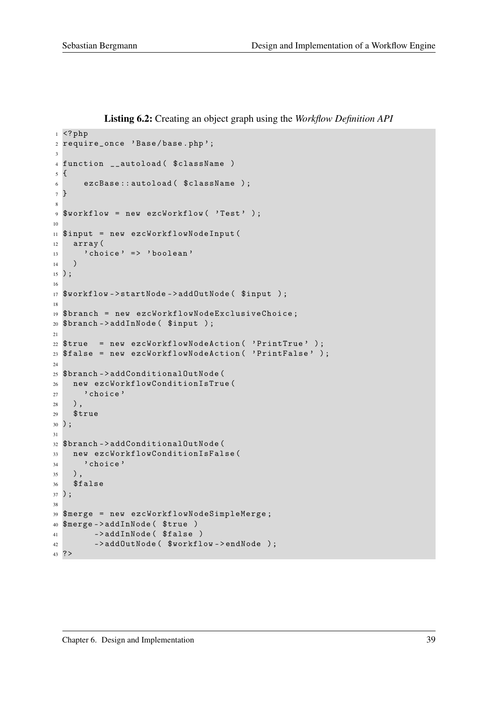Listing 6.2: Creating an object graph using the *Workflow Definition API*

```
1 \leq ?php
2 require_once ' Base / base . php ';
\overline{3}4 function __autoload ($className)
5 {
6 ezcBase:: autoload ($className);
7 }
8
9 $workflow = new ezcWorkflow ( 'Test' );
10
11 $input = new ezcWorkflowNodeInput (
12 array (
13 'choice' => 'boolean'
14 )
15 ) ;
16
17 $workflow->startNode->addOutNode($input);
18
19 $branch = new ezcWorkflowNodeExclusiveChoice ;
20 $branch -> addInNode ( $input ) ;
21
22 $true = new ezcWorkflowNodeAction ( ' PrintTrue ' ) ;
23 $false = new ezcWorkflowNodeAction ( ' PrintFalse ' ) ;
2425 $branch -> addConditionalOutNode (
26 new ezcWorkflowConditionIsTrue (
27 ' choice'
28 ) ,
29 $true
30 ) ;
31
32 $branch -> addConditionalOutNode (
33 new ezcWorkflowConditionIsFalse (
34 ' choice'
35 \quad ),
36 $false
37 ) ;
38
39 $merge = new ezcWorkflowNodeSimpleMerge ;
40 $merge - > addInNode ( $true )
41 -> addInNode ($false)
42 ->addOutNode( $workflow ->endNode );
43 ? >
```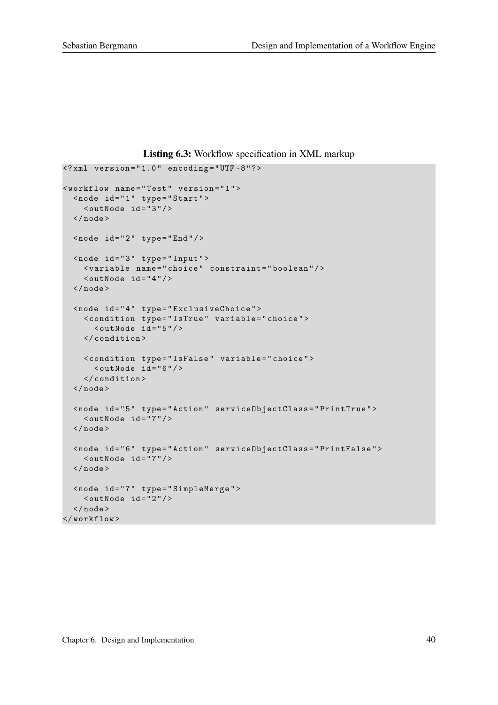Listing 6.3: Workflow specification in XML markup

```
\langle ? \text{xml version} = "1.0" encoding = "UTF - 8" ?< workflow name = " Test " version = " 1 " >
  < node id = " 1 " type =" Start " >
     \langle \text{outNode} \text{ id} = "3" \rangle\langle/node>
  \texttt{[1]} < node id = "2" type = "End" />
  < node id = " 3 " type =" Input " >
     < variable name = " choice " constraint = " boolean " / >
     \text{&} < outNode id="4"/>
   \langle/node>
   < node id = " 4 " type =" ExclusiveChoice " >
     < condition type = " IsTrue " variable = " choice " >
        \langle \text{outNode} \text{ide} | \text{id} = "5" \rangle</ condition >
     < condition type = " IsFalse " variable = " choice " >
        \text{Couthode} id="6"/>
     </ condition >
   \langle/node>
   < node id = " 5 " type =" Action " serviceObjectClass = " PrintTrue " >
     \langle \text{outNode} \text{ id} = "7" \rangle\langle/node>
   <node id="6" type="Action" serviceObjectClass="PrintFalse">
     \texttt{<outNode} id="7"/>
  \langle/node>
   < node id = " 7 " type =" SimpleMerge " >
     \langle \text{outNode} \text{ id} = "2" \rangle\langle/node>
</ workflow >
```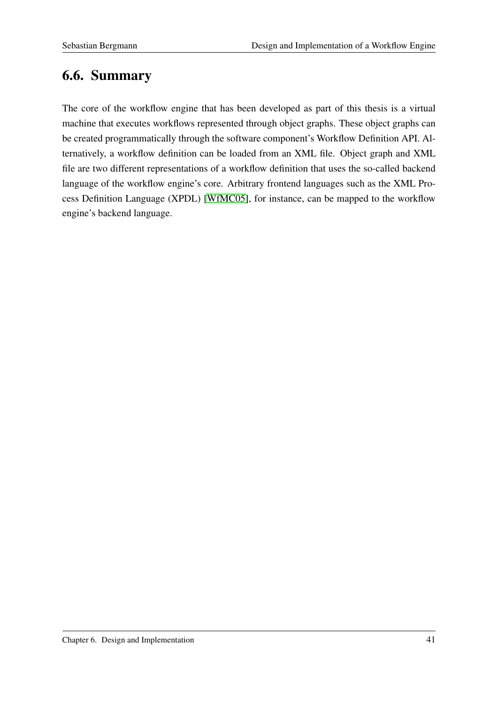## 6.6. Summary

The core of the workflow engine that has been developed as part of this thesis is a virtual machine that executes workflows represented through object graphs. These object graphs can be created programmatically through the software component's Workflow Definition API. Alternatively, a workflow definition can be loaded from an XML file. Object graph and XML file are two different representations of a workflow definition that uses the so-called backend language of the workflow engine's core. Arbitrary frontend languages such as the XML Process Definition Language (XPDL) [\[WfMC05\]](#page-90-0), for instance, can be mapped to the workflow engine's backend language.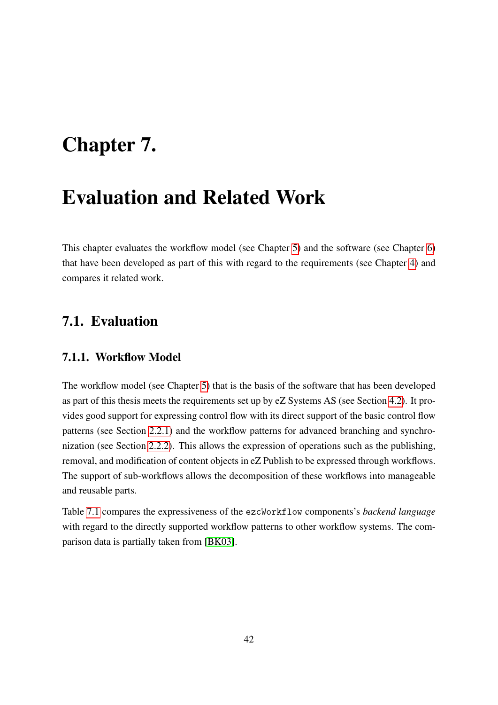# Chapter 7.

# Evaluation and Related Work

This chapter evaluates the workflow model (see Chapter [5\)](#page-34-0) and the software (see Chapter [6\)](#page-39-0) that have been developed as part of this with regard to the requirements (see Chapter [4\)](#page-27-0) and compares it related work.

## 7.1. Evaluation

#### 7.1.1. Workflow Model

The workflow model (see Chapter [5\)](#page-34-0) that is the basis of the software that has been developed as part of this thesis meets the requirements set up by eZ Systems AS (see Section [4.2\)](#page-28-0). It provides good support for expressing control flow with its direct support of the basic control flow patterns (see Section [2.2.1\)](#page-17-0) and the workflow patterns for advanced branching and synchronization (see Section [2.2.2\)](#page-19-0). This allows the expression of operations such as the publishing, removal, and modification of content objects in eZ Publish to be expressed through workflows. The support of sub-workflows allows the decomposition of these workflows into manageable and reusable parts.

Table [7.1](#page-50-0) compares the expressiveness of the ezcWorkflow components's *backend language* with regard to the directly supported workflow patterns to other workflow systems. The comparison data is partially taken from [\[BK03\]](#page-87-3).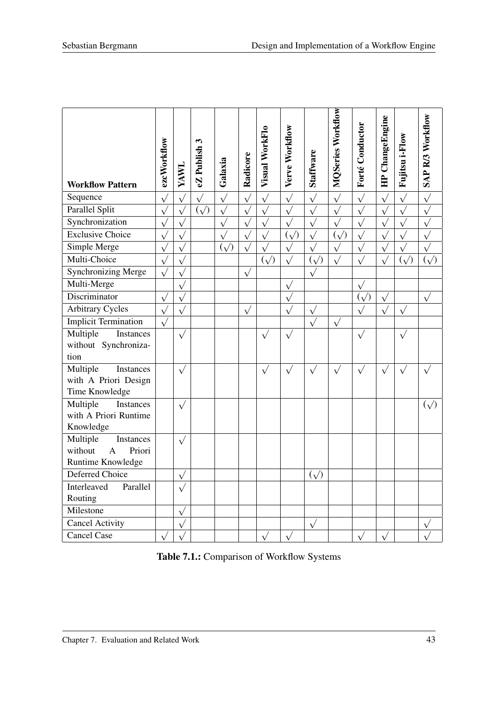| <b>Workflow Pattern</b>                                                           | ezcWorkflow           | YAWL       | $\boldsymbol{\epsilon}$<br>eZ Publish | Galaxia      | Radicore   | Visual WorkFlo          | Verve Workflow     | <b>Staffware</b>        | <b>MQSeries Workflow</b>            | Forté Conductor        | HP ChangeEngine | Fujitsu i-Flow   | SAP R/3 Workflow     |
|-----------------------------------------------------------------------------------|-----------------------|------------|---------------------------------------|--------------|------------|-------------------------|--------------------|-------------------------|-------------------------------------|------------------------|-----------------|------------------|----------------------|
| Sequence                                                                          | $\sqrt{}$             | $\sqrt{}$  | $\sqrt{}$                             | $\sqrt{}$    | $\sqrt{}$  | $\sqrt{}$               | $\sqrt{}$          | $\sqrt{}$               | $\overline{\underline{\sqrt{\ }} }$ | $\sqrt{}$              | $\sqrt{}$       | $\sqrt{}$        | $\sqrt{}$            |
| Parallel Split                                                                    | $\overline{\sqrt{ }}$ | $\sqrt{}$  | $(\sqrt{2})$                          | $\sqrt{}$    | $\sqrt{}$  | $\sqrt{}$               | $\sqrt{}$          | $\sqrt{}$               | $\sqrt{}$                           | $\sqrt{}$              | $\sqrt{}$       | $\sqrt{}$        | $\sqrt{}$            |
| Synchronization                                                                   | $\overline{\sqrt{2}}$ | $\sqrt{}$  |                                       | $\sqrt{}$    | $\sqrt{}$  | $\sqrt{}$               | $\sqrt{}$          | $\sqrt{}$               | $\overline{\sqrt{2}}$               | $\sqrt{}$              | $\sqrt{}$       | $\sqrt{}$        | $\sqrt{\frac{1}{2}}$ |
| <b>Exclusive Choice</b>                                                           | $\sqrt{}$             | $\sqrt{ }$ |                                       | $\sqrt{}$    | $\sqrt{}$  | $\sqrt{}$               | $(\sqrt{2})$       | $\sqrt{}$               | $(\sqrt{2})$                        | $\sqrt{}$              |                 | $\sqrt{}$        | $\sqrt{}$            |
| Simple Merge                                                                      | $\sqrt{}$             | $\sqrt{}$  |                                       | $(\sqrt{2})$ | $\sqrt{}$  | $\sqrt{}$               | $\sqrt{}$          | $\sqrt{}$               | $\sqrt{}$                           | $\sqrt{}$              |                 |                  |                      |
| Multi-Choice                                                                      | $\sqrt{}$             | $\sqrt{ }$ |                                       |              |            | $\overline{(\sqrt{2})}$ | $\sqrt{}$          | $\overline{(\sqrt{2})}$ | $\sqrt{}$                           | $\sqrt{2}$             |                 | $\bar{(\wedge)}$ | $(\sqrt{2})$         |
| <b>Synchronizing Merge</b>                                                        | $\sqrt{}$             | $\sqrt{}$  |                                       |              | $\sqrt{ }$ |                         |                    |                         |                                     |                        |                 |                  |                      |
| Multi-Merge                                                                       |                       | $\sqrt{}$  |                                       |              |            |                         | $\sqrt{}$          |                         |                                     | $\sqrt{}$              |                 |                  |                      |
| Discriminator                                                                     | $\sqrt{}$             | $\sqrt{}$  |                                       |              |            |                         | $\sqrt{}$          |                         |                                     | $\left(\sqrt{\right)}$ | $\sqrt{}$       |                  | $\sqrt{}$            |
| <b>Arbitrary Cycles</b>                                                           | $\sqrt{}$             | $\sqrt{}$  |                                       |              | $\sqrt{}$  |                         | $\sqrt{}$          | $\sqrt{}$               |                                     |                        | $\sqrt{}$       | $\sqrt{}$        |                      |
| <b>Implicit Termination</b>                                                       | $\sqrt{}$             |            |                                       |              |            |                         |                    | $\sqrt{}$               | $\hat{\sqrt{}}$                     |                        |                 |                  |                      |
| Multiple<br><b>Instances</b><br>without Synchroniza-<br>tion                      |                       | $\sqrt{}$  |                                       |              |            | $\sqrt{}$               | $\sqrt{}$          |                         |                                     | $\sqrt{}$              |                 |                  |                      |
| Multiple<br>Instances<br>with A Priori Design<br>Time Knowledge                   |                       | $\sqrt{}$  |                                       |              |            | $\sqrt{}$               | $\sqrt{}$          | $\sqrt{}$               |                                     | $\sqrt{}$              |                 |                  |                      |
| Multiple<br><b>Instances</b><br>with A Priori Runtime<br>Knowledge                |                       | $\sqrt{}$  |                                       |              |            |                         |                    |                         |                                     |                        |                 |                  | $(\sqrt{2})$         |
| Multiple<br>Instances<br>without<br>Priori<br>$\overline{A}$<br>Runtime Knowledge |                       | $\sqrt{}$  |                                       |              |            |                         |                    |                         |                                     |                        |                 |                  |                      |
| Deferred Choice                                                                   |                       | $\sqrt{}$  |                                       |              |            |                         |                    | $(\sqrt{2})$            |                                     |                        |                 |                  |                      |
| Interleaved<br>Parallel                                                           |                       |            |                                       |              |            |                         |                    |                         |                                     |                        |                 |                  |                      |
| Routing                                                                           |                       |            |                                       |              |            |                         |                    |                         |                                     |                        |                 |                  |                      |
| Milestone                                                                         |                       | $\sqrt{}$  |                                       |              |            |                         |                    |                         |                                     |                        |                 |                  |                      |
| <b>Cancel Activity</b>                                                            |                       | $\sqrt{}$  |                                       |              |            |                         |                    | $\sqrt{ }$              |                                     |                        |                 |                  | $\sqrt{}$            |
| <b>Cancel Case</b>                                                                | $\overline{\sqrt{ }}$ |            |                                       |              |            | $\sqrt{ }$              | $\tilde{\sqrt{2}}$ |                         |                                     | $\sqrt{}$              | $\sqrt{}$       |                  |                      |

<span id="page-50-0"></span>Table 7.1.: Comparison of Workflow Systems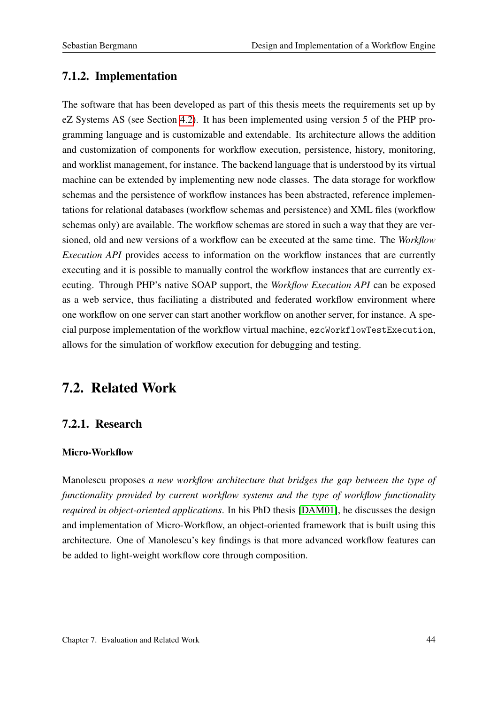## 7.1.2. Implementation

The software that has been developed as part of this thesis meets the requirements set up by eZ Systems AS (see Section [4.2\)](#page-28-0). It has been implemented using version 5 of the PHP programming language and is customizable and extendable. Its architecture allows the addition and customization of components for workflow execution, persistence, history, monitoring, and worklist management, for instance. The backend language that is understood by its virtual machine can be extended by implementing new node classes. The data storage for workflow schemas and the persistence of workflow instances has been abstracted, reference implementations for relational databases (workflow schemas and persistence) and XML files (workflow schemas only) are available. The workflow schemas are stored in such a way that they are versioned, old and new versions of a workflow can be executed at the same time. The *Workflow Execution API* provides access to information on the workflow instances that are currently executing and it is possible to manually control the workflow instances that are currently executing. Through PHP's native SOAP support, the *Workflow Execution API* can be exposed as a web service, thus faciliating a distributed and federated workflow environment where one workflow on one server can start another workflow on another server, for instance. A special purpose implementation of the workflow virtual machine, ezcWorkflowTestExecution, allows for the simulation of workflow execution for debugging and testing.

## 7.2. Related Work

## 7.2.1. Research

#### Micro-Workflow

Manolescu proposes *a new workflow architecture that bridges the gap between the type of functionality provided by current workflow systems and the type of workflow functionality required in object-oriented applications*. In his PhD thesis [\[DAM01\]](#page-87-1), he discusses the design and implementation of Micro-Workflow, an object-oriented framework that is built using this architecture. One of Manolescu's key findings is that more advanced workflow features can be added to light-weight workflow core through composition.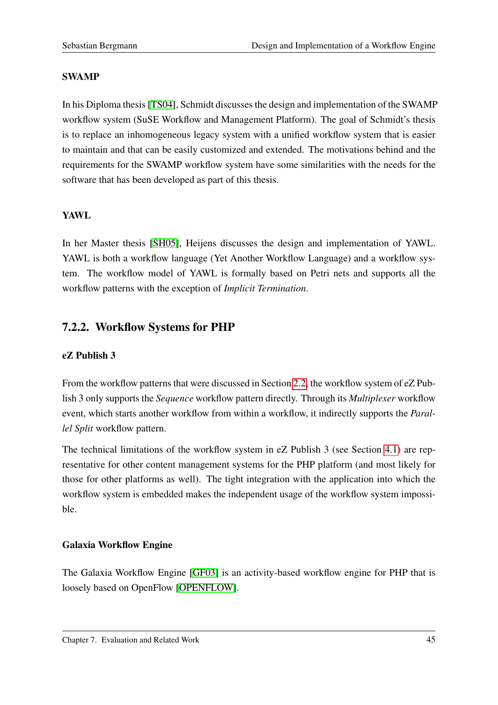### SWAMP

In his Diploma thesis [\[TS04\]](#page-89-2), Schmidt discusses the design and implementation of the SWAMP workflow system (SuSE Workflow and Management Platform). The goal of Schmidt's thesis is to replace an inhomogeneous legacy system with a unified workflow system that is easier to maintain and that can be easily customized and extended. The motivations behind and the requirements for the SWAMP workflow system have some similarities with the needs for the software that has been developed as part of this thesis.

### YAWL

In her Master thesis [\[SH05\]](#page-89-3), Heijens discusses the design and implementation of YAWL. YAWL is both a workflow language (Yet Another Workflow Language) and a workflow system. The workflow model of YAWL is formally based on Petri nets and supports all the workflow patterns with the exception of *Implicit Termination*.

## 7.2.2. Workflow Systems for PHP

### eZ Publish 3

From the workflow patterns that were discussed in Section [2.2,](#page-16-0) the workflow system of eZ Publish 3 only supports the *Sequence* workflow pattern directly. Through its *Multiplexer* workflow event, which starts another workflow from within a workflow, it indirectly supports the *Parallel Split* workflow pattern.

The technical limitations of the workflow system in eZ Publish 3 (see Section [4.1\)](#page-27-1) are representative for other content management systems for the PHP platform (and most likely for those for other platforms as well). The tight integration with the application into which the workflow system is embedded makes the independent usage of the workflow system impossible.

### Galaxia Workflow Engine

The Galaxia Workflow Engine [\[GF03\]](#page-88-4) is an activity-based workflow engine for PHP that is loosely based on OpenFlow [\[OPENFLOW\]](#page-88-5).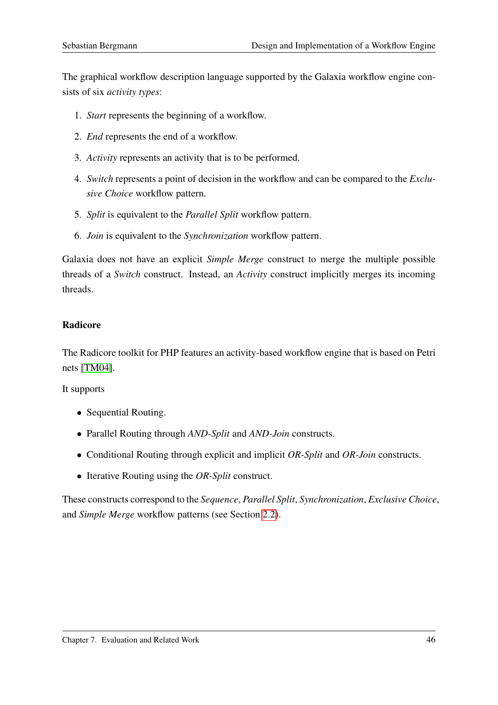The graphical workflow description language supported by the Galaxia workflow engine consists of six *activity types*:

- 1. *Start* represents the beginning of a workflow.
- 2. *End* represents the end of a workflow.
- 3. *Activity* represents an activity that is to be performed.
- 4. *Switch* represents a point of decision in the workflow and can be compared to the *Exclusive Choice* workflow pattern.
- 5. *Split* is equivalent to the *Parallel Split* workflow pattern.
- 6. *Join* is equivalent to the *Synchronization* workflow pattern.

Galaxia does not have an explicit *Simple Merge* construct to merge the multiple possible threads of a *Switch* construct. Instead, an *Activity* construct implicitly merges its incoming threads.

#### Radicore

The Radicore toolkit for PHP features an activity-based workflow engine that is based on Petri nets [\[TM04\]](#page-89-4).

It supports

- Sequential Routing.
- Parallel Routing through *AND-Split* and *AND-Join* constructs.
- Conditional Routing through explicit and implicit *OR-Split* and *OR-Join* constructs.
- Iterative Routing using the *OR-Split* construct.

These constructs correspond to the *Sequence*, *Parallel Split*, *Synchronization*, *Exclusive Choice*, and *Simple Merge* workflow patterns (see Section [2.2\)](#page-16-0).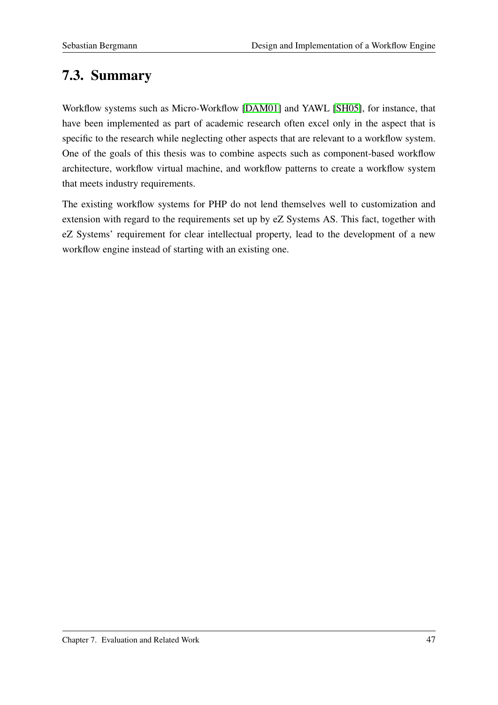# 7.3. Summary

Workflow systems such as Micro-Workflow [\[DAM01\]](#page-87-1) and YAWL [\[SH05\]](#page-89-3), for instance, that have been implemented as part of academic research often excel only in the aspect that is specific to the research while neglecting other aspects that are relevant to a workflow system. One of the goals of this thesis was to combine aspects such as component-based workflow architecture, workflow virtual machine, and workflow patterns to create a workflow system that meets industry requirements.

The existing workflow systems for PHP do not lend themselves well to customization and extension with regard to the requirements set up by eZ Systems AS. This fact, together with eZ Systems' requirement for clear intellectual property, lead to the development of a new workflow engine instead of starting with an existing one.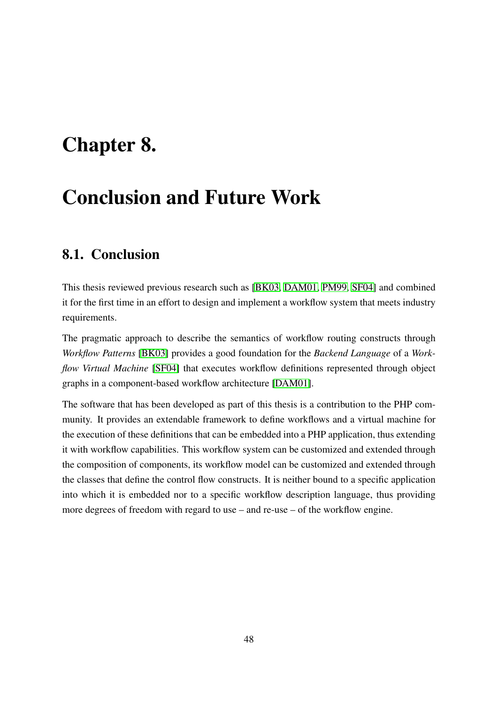# Chapter 8.

# Conclusion and Future Work

## 8.1. Conclusion

This thesis reviewed previous research such as [\[BK03,](#page-87-3) [DAM01,](#page-87-1) [PM99,](#page-89-0) [SF04\]](#page-89-1) and combined it for the first time in an effort to design and implement a workflow system that meets industry requirements.

The pragmatic approach to describe the semantics of workflow routing constructs through *Workflow Patterns* [\[BK03\]](#page-87-3) provides a good foundation for the *Backend Language* of a *Workflow Virtual Machine* [\[SF04\]](#page-89-1) that executes workflow definitions represented through object graphs in a component-based workflow architecture [\[DAM01\]](#page-87-1).

The software that has been developed as part of this thesis is a contribution to the PHP community. It provides an extendable framework to define workflows and a virtual machine for the execution of these definitions that can be embedded into a PHP application, thus extending it with workflow capabilities. This workflow system can be customized and extended through the composition of components, its workflow model can be customized and extended through the classes that define the control flow constructs. It is neither bound to a specific application into which it is embedded nor to a specific workflow description language, thus providing more degrees of freedom with regard to use – and re-use – of the workflow engine.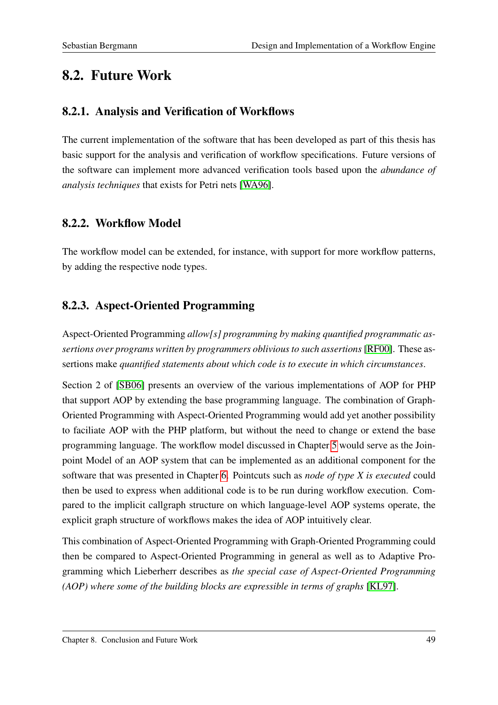## 8.2. Future Work

## 8.2.1. Analysis and Verification of Workflows

The current implementation of the software that has been developed as part of this thesis has basic support for the analysis and verification of workflow specifications. Future versions of the software can implement more advanced verification tools based upon the *abundance of analysis techniques* that exists for Petri nets [\[WA96\]](#page-89-5).

## 8.2.2. Workflow Model

The workflow model can be extended, for instance, with support for more workflow patterns, by adding the respective node types.

## 8.2.3. Aspect-Oriented Programming

Aspect-Oriented Programming *allow[s] programming by making quantified programmatic assertions over programs written by programmers oblivious to such assertions* [\[RF00\]](#page-89-6). These assertions make *quantified statements about which code is to execute in which circumstances*.

Section 2 of [\[SB06\]](#page-89-7) presents an overview of the various implementations of AOP for PHP that support AOP by extending the base programming language. The combination of Graph-Oriented Programming with Aspect-Oriented Programming would add yet another possibility to faciliate AOP with the PHP platform, but without the need to change or extend the base programming language. The workflow model discussed in Chapter [5](#page-34-0) would serve as the Joinpoint Model of an AOP system that can be implemented as an additional component for the software that was presented in Chapter [6.](#page-39-0) Pointcuts such as *node of type X is executed* could then be used to express when additional code is to be run during workflow execution. Compared to the implicit callgraph structure on which language-level AOP systems operate, the explicit graph structure of workflows makes the idea of AOP intuitively clear.

This combination of Aspect-Oriented Programming with Graph-Oriented Programming could then be compared to Aspect-Oriented Programming in general as well as to Adaptive Programming which Lieberherr describes as *the special case of Aspect-Oriented Programming (AOP) where some of the building blocks are expressible in terms of graphs* [\[KL97\]](#page-88-6).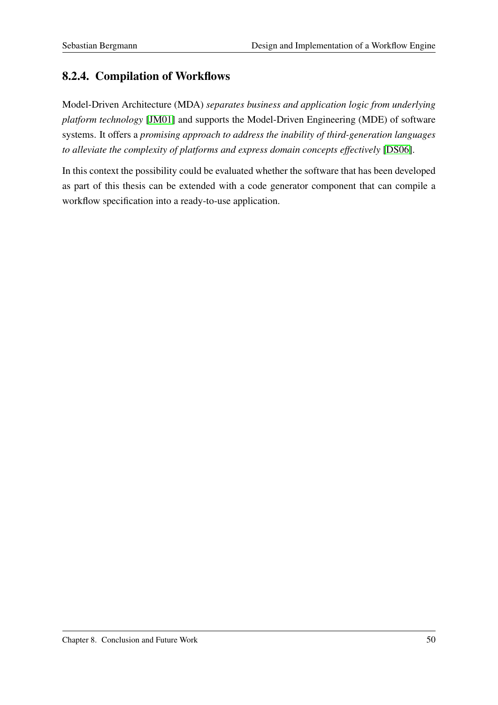## 8.2.4. Compilation of Workflows

Model-Driven Architecture (MDA) *separates business and application logic from underlying platform technology* [\[JM01\]](#page-88-7) and supports the Model-Driven Engineering (MDE) of software systems. It offers a *promising approach to address the inability of third-generation languages to alleviate the complexity of platforms and express domain concepts effectively* [\[DS06\]](#page-87-4).

In this context the possibility could be evaluated whether the software that has been developed as part of this thesis can be extended with a code generator component that can compile a workflow specification into a ready-to-use application.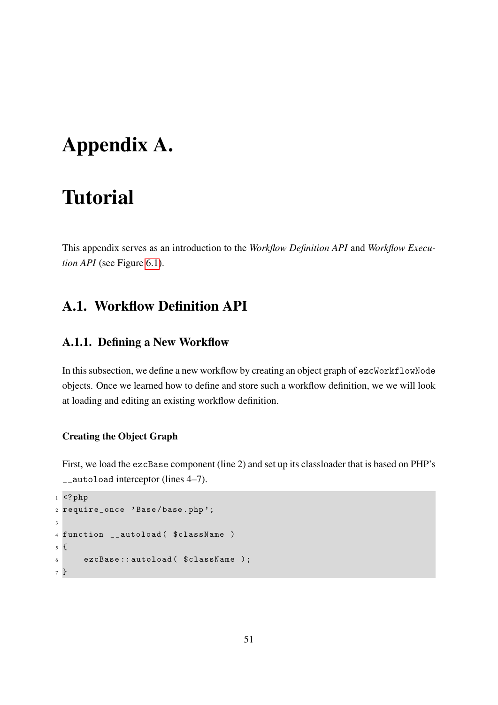# <span id="page-58-0"></span>Appendix A.

# **Tutorial**

This appendix serves as an introduction to the *Workflow Definition API* and *Workflow Execution API* (see Figure [6.1\)](#page-40-0).

## A.1. Workflow Definition API

### A.1.1. Defining a New Workflow

In this subsection, we define a new workflow by creating an object graph of ezcWorkflowNode objects. Once we learned how to define and store such a workflow definition, we we will look at loading and editing an existing workflow definition.

#### Creating the Object Graph

First, we load the ezcBase component (line 2) and set up its classloader that is based on PHP's \_\_autoload interceptor (lines 4–7).

```
1 \leq ?php
2 require_once ' Base / base . php ';
3
4 function __autoload ( $className )
5 {
6 ezcBase:: autoload ($className );
7 }
```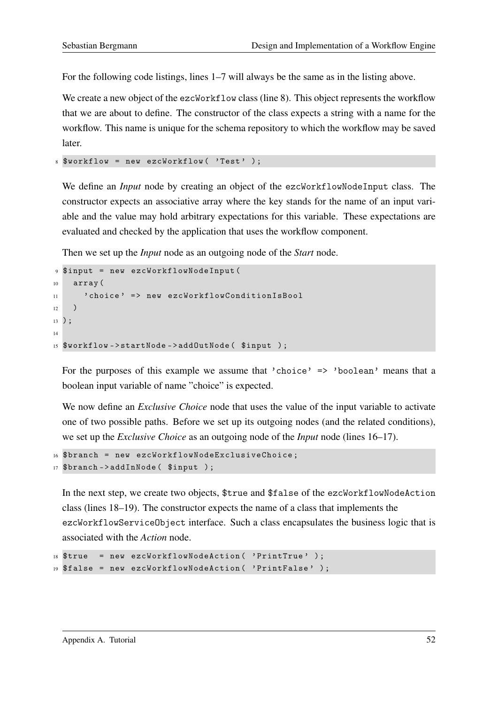For the following code listings, lines 1–7 will always be the same as in the listing above.

We create a new object of the ezcWorkflow class (line 8). This object represents the workflow that we are about to define. The constructor of the class expects a string with a name for the workflow. This name is unique for the schema repository to which the workflow may be saved later.

```
8 $workflow = new ezcWorkflow ( 'Test' );
```
We define an *Input* node by creating an object of the ezcWorkflowNodeInput class. The constructor expects an associative array where the key stands for the name of an input variable and the value may hold arbitrary expectations for this variable. These expectations are evaluated and checked by the application that uses the workflow component.

Then we set up the *Input* node as an outgoing node of the *Start* node.

```
9 $input = new ezcWorkflowNodeInput (
10 array (
11 ' choice' => new ezcWorkflowConditionIsBool
12 )
13 ) ;
14
15 $workflow - > startNode - > addOutNode ( $input ) ;
```
For the purposes of this example we assume that 'choice'  $\Rightarrow$  'boolean' means that a boolean input variable of name "choice" is expected.

We now define an *Exclusive Choice* node that uses the value of the input variable to activate one of two possible paths. Before we set up its outgoing nodes (and the related conditions), we set up the *Exclusive Choice* as an outgoing node of the *Input* node (lines 16–17).

```
16 $branch = new ezcWorkflowNodeExclusiveChoice ;
17 $branch -> addInNode ( $input ) ;
```
In the next step, we create two objects, \$true and \$false of the ezcWorkflowNodeAction class (lines 18–19). The constructor expects the name of a class that implements the ezcWorkflowServiceObject interface. Such a class encapsulates the business logic that is associated with the *Action* node.

```
18 $true = new ezcWorkflowNodeAction ( ' PrintTrue ' ) ;
19 $false = new ezcWorkflowNodeAction ( ' PrintFalse ' ) ;
```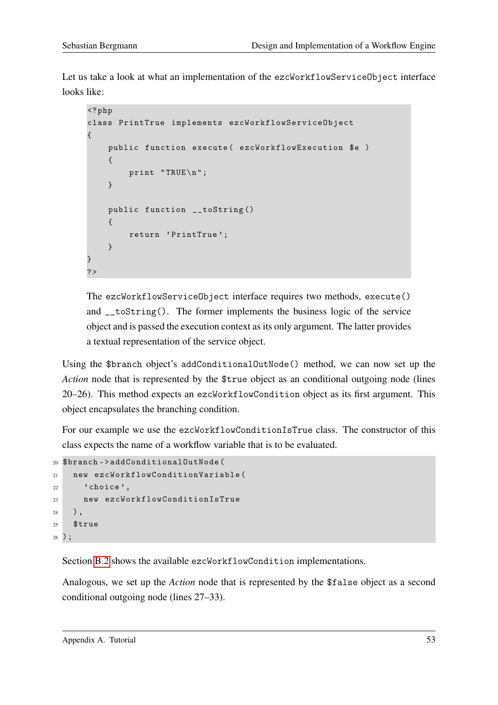Let us take a look at what an implementation of the ezcWorkflowServiceObject interface looks like:

```
<? php
class PrintTrue implements ezcWorkflowServiceObject
{
    public function execute ( ezcWorkflowExecution $e )
    {
        print "TRUE \n";
    }
    public function __toString ()
    {
        return ' PrintTrue ';
    }
}
?
```
The ezcWorkflowServiceObject interface requires two methods, execute() and \_\_toString(). The former implements the business logic of the service object and is passed the execution context as its only argument. The latter provides a textual representation of the service object.

Using the \$branch object's addConditionalOutNode() method, we can now set up the *Action* node that is represented by the \$true object as an conditional outgoing node (lines 20–26). This method expects an ezcWorkflowCondition object as its first argument. This object encapsulates the branching condition.

For our example we use the ezcWorkflowConditionIsTrue class. The constructor of this class expects the name of a workflow variable that is to be evaluated.

```
20 $branch -> addConditionalOutNode (
21 new ezcWorkflowConditionVariable (
22 \, ' choice',
23 new ezcWorkflowConditionIsTrue
24 ) ,
25 $true
26 ) ;
```
Section [B.2](#page-78-0) shows the available ezcWorkflowCondition implementations.

Analogous, we set up the *Action* node that is represented by the \$false object as a second conditional outgoing node (lines 27–33).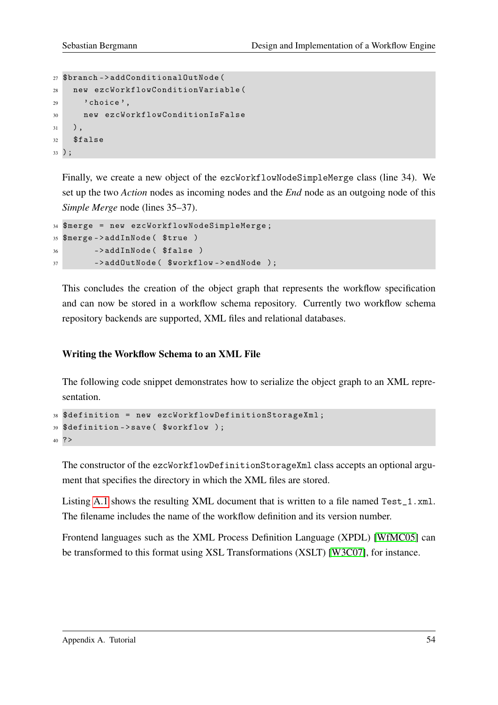```
27 $branch -> addConditionalOutNode (
28 new ezcWorkflowConditionVariable (
29 ' choice',
30 new ezcWorkflowConditionIsFalse
31 \quad \quad,
32 $false
33 ) ;
```
Finally, we create a new object of the ezcWorkflowNodeSimpleMerge class (line 34). We set up the two *Action* nodes as incoming nodes and the *End* node as an outgoing node of this *Simple Merge* node (lines 35–37).

```
34 $merge = new ezcWorkflowNodeSimpleMerge ;
35 $merge - > addInNode ( $true )
36 -> addInNode ( $false )
37 ->addOutNode ($workflow->endNode);
```
This concludes the creation of the object graph that represents the workflow specification and can now be stored in a workflow schema repository. Currently two workflow schema repository backends are supported, XML files and relational databases.

#### Writing the Workflow Schema to an XML File

The following code snippet demonstrates how to serialize the object graph to an XML representation.

```
38 $definition = new ezcWorkflowDefinitionStorageXml ;
39 $definition - > save ( $workflow ) ;
40 ? >
```
The constructor of the ezcWorkflowDefinitionStorageXml class accepts an optional argument that specifies the directory in which the XML files are stored.

Listing [A.1](#page-62-0) shows the resulting XML document that is written to a file named Test\_1.xml. The filename includes the name of the workflow definition and its version number.

Frontend languages such as the XML Process Definition Language (XPDL) [\[WfMC05\]](#page-90-0) can be transformed to this format using XSL Transformations (XSLT) [\[W3C07\]](#page-89-8), for instance.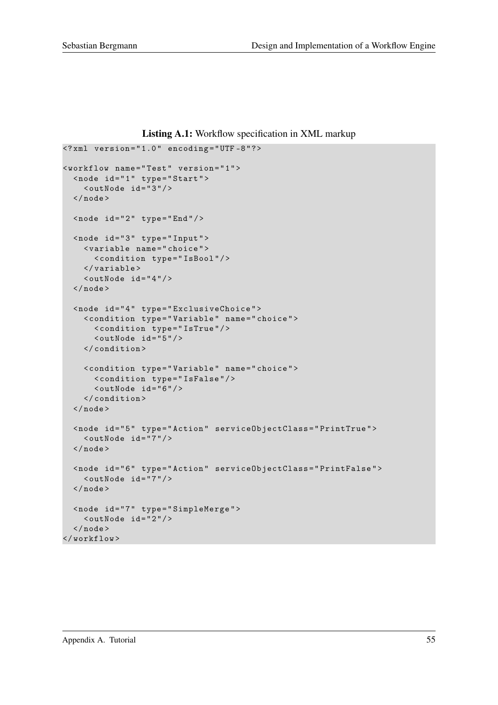Listing A.1: Workflow specification in XML markup

```
\langle ? \text{xml} version = "1.0" encoding = "UTF-8"?>
< workflow name = " Test " version = " 1 " >
   < node id = " 1 " type =" Start " >
     \langle \text{outNode} \text{ide} | \text{id} = "3" \rangle\langle/node>
   \text{q} <node id="2" type="End"/>
   < node id = " 3 " type =" Input " >
     < variable name = " choice " >
         < condition type = " IsBool " / >
      \langle/variable>
      \langle \text{outNode} \text{ id} = "4" \rangle\langle/node>
   < node id = " 4 " type =" ExclusiveChoice " >
      < condition type = " Variable " name = " choice " >
         < condition type = " IsTrue " / >
         \langle \text{outNode} \text{ide} | \text{id} = "5" \rangle</ condition >
      < condition type = " Variable " name = " choice " >
         < condition type = " IsFalse " / >
         \langle \text{outNode} \text{ide} | \text{id} = "6" \rangle</ condition >
   \langle/node>
   < node id = " 5 " type =" Action " serviceObjectClass = " PrintTrue " >
     \langle \text{outNode} \text{ id} = "7" \rangle\langle/node>
   < node id = " 6 " type =" Action " serviceObjectClass = " PrintFalse " >
     \langle \text{outNode} \text{ id} = "7" \rangle\langle/node>
   < node id = " 7 " type =" SimpleMerge " >
      \langle \text{outNode id} = "2" / \rangle\langle/node>
</ workflow >
```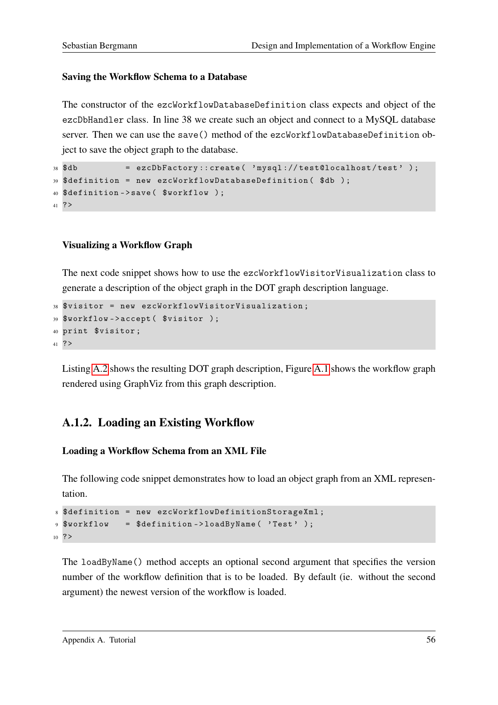#### Saving the Workflow Schema to a Database

The constructor of the ezcWorkflowDatabaseDefinition class expects and object of the ezcDbHandler class. In line 38 we create such an object and connect to a MySQL database server. Then we can use the save() method of the ezcWorkflowDatabaseDefinition object to save the object graph to the database.

```
38 $db = ezcDbFactory:: create ( 'mysql://test@localhost/test' );
39 $definition = new ezcWorkflowDatabaseDefinition ( $db ) ;
40 $definition ->save ($workflow);
41 ? >
```
#### Visualizing a Workflow Graph

The next code snippet shows how to use the ezcWorkflowVisitorVisualization class to generate a description of the object graph in the DOT graph description language.

```
38 $visitor = new ezcWorkflowVisitorVisualization ;
39 $workflow - > accept ( $visitor ) ;
40 print $visitor ;
41 ? >
```
Listing [A.2](#page-64-0) shows the resulting DOT graph description, Figure [A.1](#page-65-0) shows the workflow graph rendered using GraphViz from this graph description.

### A.1.2. Loading an Existing Workflow

#### Loading a Workflow Schema from an XML File

The following code snippet demonstrates how to load an object graph from an XML representation.

```
8 $definition = new ezcWorkflowDefinitionStorageXml ;
9 $workflow = $definition - > loadByName ( ' Test ' ) ;
10 ? >
```
The loadByName() method accepts an optional second argument that specifies the version number of the workflow definition that is to be loaded. By default (ie. without the second argument) the newest version of the workflow is loaded.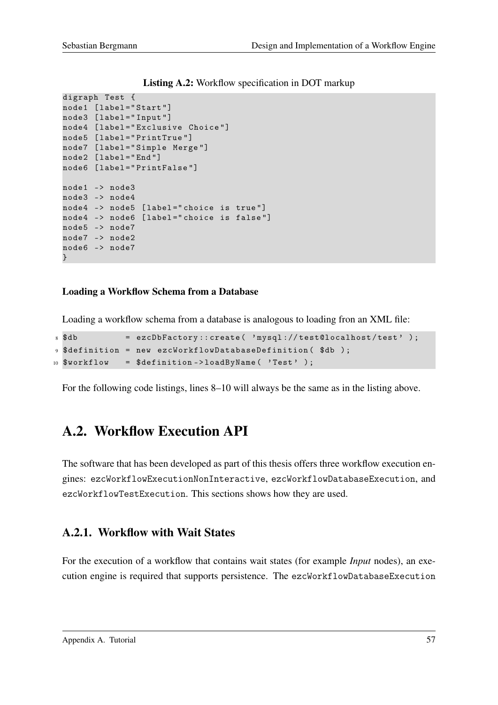<span id="page-64-0"></span>digraph Test { node1 [ label =" Start "] node3 [ label =" Input "] node4 [ label =" Exclusive Choice "] node5 [ label =" PrintTrue "] node7 [ label =" Simple Merge "] node2 [label="End"] node6 [ label =" PrintFalse "] node1 -> node3 node3 -> node4 node4 -> node5 [label="choice is true"] node4 -> node6 [label="choice is false"] node5 -> node7 node7 -> node2 node6 -> node7 }

Listing A.2: Workflow specification in DOT markup

#### Loading a Workflow Schema from a Database

Loading a workflow schema from a database is analogous to loading fron an XML file:

```
\text{8 8db} = ezcDbFactory:: create ('mysql://test@localhost/test');
9 $definition = new ezcWorkflowDatabaseDefinition ( $db ) ;
10 $workflow = $definition->loadByName ('Test');
```
For the following code listings, lines 8–10 will always be the same as in the listing above.

## A.2. Workflow Execution API

The software that has been developed as part of this thesis offers three workflow execution engines: ezcWorkflowExecutionNonInteractive, ezcWorkflowDatabaseExecution, and ezcWorkflowTestExecution. This sections shows how they are used.

### A.2.1. Workflow with Wait States

For the execution of a workflow that contains wait states (for example *Input* nodes), an execution engine is required that supports persistence. The ezcWorkflowDatabaseExecution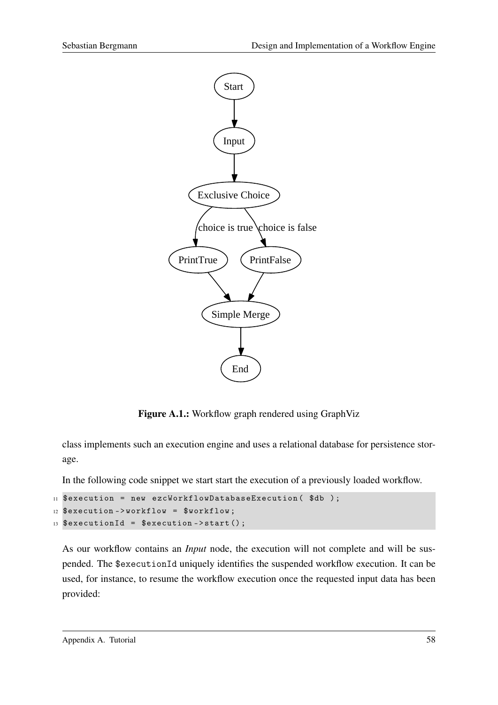

<span id="page-65-0"></span>Figure A.1.: Workflow graph rendered using GraphViz

class implements such an execution engine and uses a relational database for persistence storage.

In the following code snippet we start start the execution of a previously loaded workflow.

```
11 $execution = new ezcWorkflowDatabaseExecution ($db);
12 $execution ->workflow = $workflow;
13 $executionId = $execution->start();
```
As our workflow contains an *Input* node, the execution will not complete and will be suspended. The \$executionId uniquely identifies the suspended workflow execution. It can be used, for instance, to resume the workflow execution once the requested input data has been provided: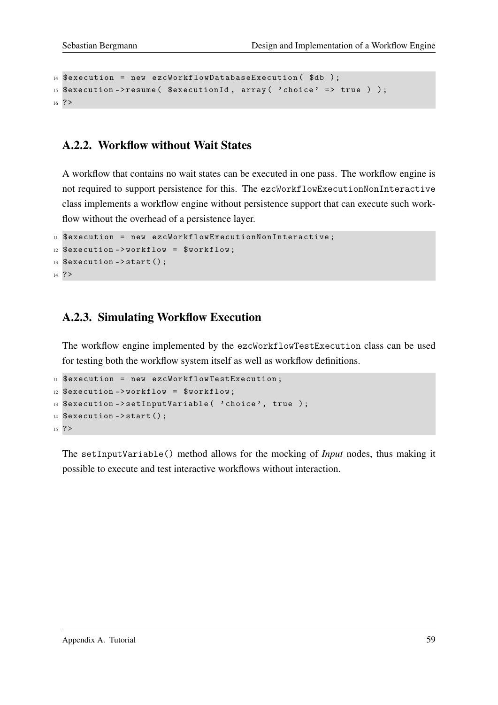```
14 $execution = new ezcWorkflowDatabaseExecution ($db);
15 % execution -> resume (% executionId, array (' choice ' => true ) );
16 ? >
```
#### A.2.2. Workflow without Wait States

A workflow that contains no wait states can be executed in one pass. The workflow engine is not required to support persistence for this. The ezcWorkflowExecutionNonInteractive class implements a workflow engine without persistence support that can execute such workflow without the overhead of a persistence layer.

```
11 $execution = new ezcWorkflowExecutionNonInteractive ;
12 $execution ->workflow = $workflow;
13 $execution ->start ():
14 ? >
```
#### A.2.3. Simulating Workflow Execution

The workflow engine implemented by the ezcWorkflowTestExecution class can be used for testing both the workflow system itself as well as workflow definitions.

```
11 $execution = new ezcWorkflowTestExecution;
12 $execution ->workflow = $workflow;
13 $execution->setInputVariable ( 'choice', true );
14 $execution ->start();
15 ? >
```
The setInputVariable() method allows for the mocking of *Input* nodes, thus making it possible to execute and test interactive workflows without interaction.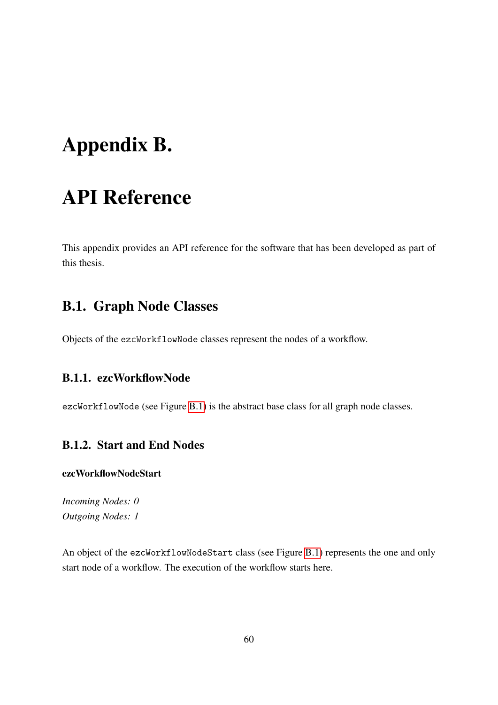# <span id="page-67-0"></span>Appendix B.

# API Reference

This appendix provides an API reference for the software that has been developed as part of this thesis.

## B.1. Graph Node Classes

Objects of the ezcWorkflowNode classes represent the nodes of a workflow.

### B.1.1. ezcWorkflowNode

ezcWorkflowNode (see Figure [B.1\)](#page-68-0) is the abstract base class for all graph node classes.

### B.1.2. Start and End Nodes

#### ezcWorkflowNodeStart

*Incoming Nodes: 0 Outgoing Nodes: 1*

An object of the ezcWorkflowNodeStart class (see Figure [B.1\)](#page-68-0) represents the one and only start node of a workflow. The execution of the workflow starts here.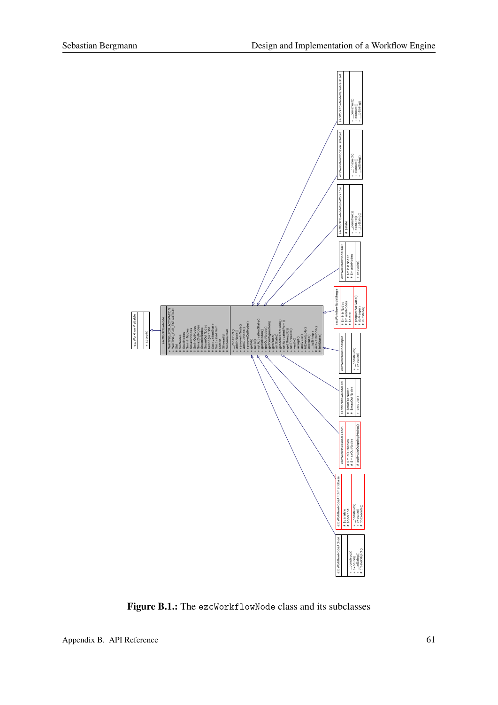

<span id="page-68-0"></span>Figure B.1.: The ezcWorkflowNode class and its subclasses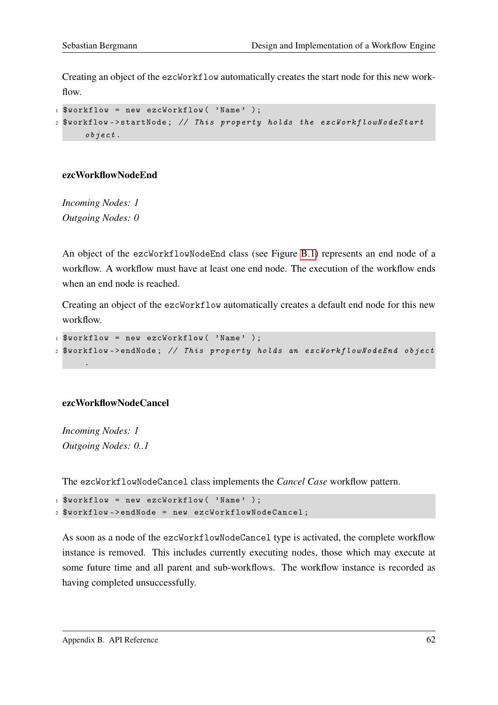Creating an object of the ezcWorkflow automatically creates the start node for this new workflow.

 $1$  \$workflow = new ezcWorkflow ( 'Name' ):

```
2 $workflow->startNode; // This property holds the ezcWorkflowNodeStart
     object .
```
#### ezcWorkflowNodeEnd

*Incoming Nodes: 1 Outgoing Nodes: 0*

An object of the ezcWorkflowNodeEnd class (see Figure [B.1\)](#page-68-0) represents an end node of a workflow. A workflow must have at least one end node. The execution of the workflow ends when an end node is reached.

Creating an object of the ezcWorkflow automatically creates a default end node for this new workflow.

```
1 $workflow = new ezcWorkflow ( 'Name' );
2 $workflow - > endNode ; // This property holds an ezcWorkflowNodeEnd object
```
#### ezcWorkflowNodeCancel

*Incoming Nodes: 1 Outgoing Nodes: 0..1*

.

The ezcWorkflowNodeCancel class implements the *Cancel Case* workflow pattern.

```
1 $workflow = new ezcWorkflow ( 'Name' );
2 $workflow - > endNode = new ezcWorkflowNodeCancel ;
```
As soon as a node of the ezcWorkflowNodeCancel type is activated, the complete workflow instance is removed. This includes currently executing nodes, those which may execute at some future time and all parent and sub-workflows. The workflow instance is recorded as having completed unsuccessfully.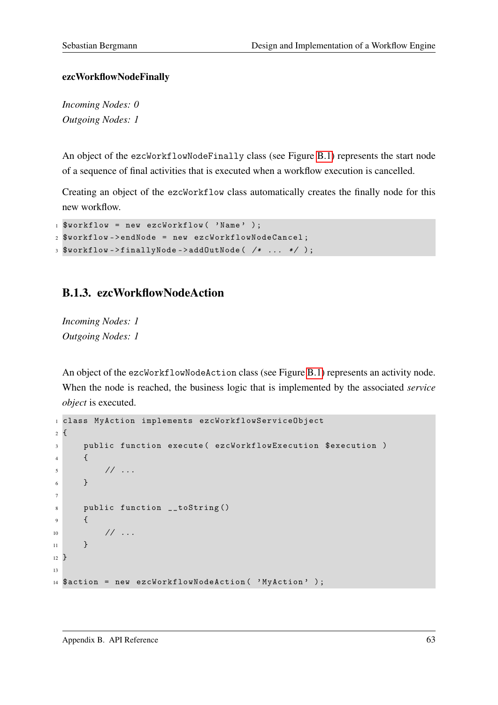#### ezcWorkflowNodeFinally

*Incoming Nodes: 0 Outgoing Nodes: 1*

An object of the ezcWorkflowNodeFinally class (see Figure [B.1\)](#page-68-0) represents the start node of a sequence of final activities that is executed when a workflow execution is cancelled.

Creating an object of the ezcWorkflow class automatically creates the finally node for this new workflow.

```
1 $workflow = new ezcWorkflow ( 'Name' );
2 $workflow - > endNode = new ezcWorkflowNodeCancel ;
3 $workflow - > finallyNode - > addOutNode ( /* ... */ ) ;
```
### B.1.3. ezcWorkflowNodeAction

*Incoming Nodes: 1 Outgoing Nodes: 1*

An object of the ezcWorkflowNodeAction class (see Figure [B.1\)](#page-68-0) represents an activity node. When the node is reached, the business logic that is implemented by the associated *service object* is executed.

```
1 class MyAction implements ezcWorkflowServiceObject
2 {
3 public function execute (ezcWorkflowExecution $execution )
4 \qquad \qquad\frac{1}{2} \frac{1}{2} ...
6 \rightarrow \frac{1}{2}7
8 public function __toString ()
9 \qquad \qquad\frac{10}{2} \frac{1}{2} ...
11 \quad \lambda12 }
13
14 $action = new ezcWorkflowNodeAction ( ' MyAction ' ) ;
```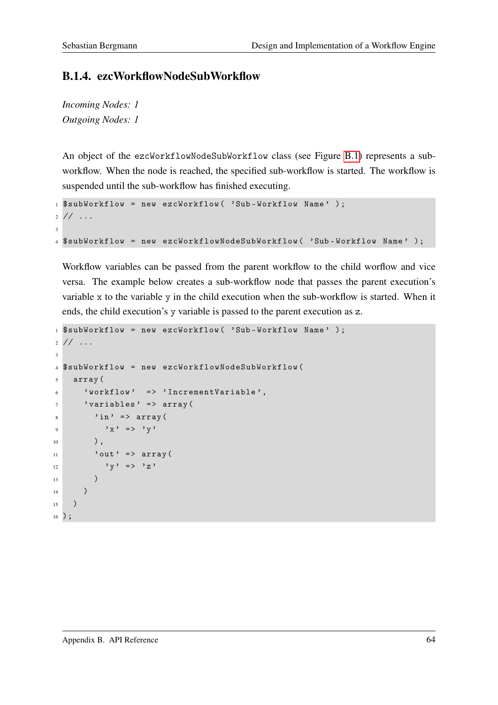### B.1.4. ezcWorkflowNodeSubWorkflow

*Incoming Nodes: 1 Outgoing Nodes: 1*

An object of the ezcWorkflowNodeSubWorkflow class (see Figure [B.1\)](#page-68-0) represents a subworkflow. When the node is reached, the specified sub-workflow is started. The workflow is suspended until the sub-workflow has finished executing.

```
1 $subWorkflow = new ezcWorkflow ( 'Sub-Workflow Name' );
2 / / ...3
4 $subWorkflow = new ezcWorkflowNodeSubWorkflow ( 'Sub - Workflow Name ' ) ;
```
Workflow variables can be passed from the parent workflow to the child worflow and vice versa. The example below creates a sub-workflow node that passes the parent execution's variable x to the variable y in the child execution when the sub-workflow is started. When it ends, the child execution's y variable is passed to the parent execution as z.

```
1 $subWorkflow = new ezcWorkflow ( 'Sub-Workflow Name' );
2 / / ...3
4 $subWorkflow = new ezcWorkflowNodeSubWorkflow (
5 array (
\delta 'workflow' => 'IncrementVariable',
7 'variables' => array (
\sin ' \sin ' = > \arctan array (
9 \mathbf{y} \times \mathbf{y} = \mathbf{y} \times \mathbf{y}10 ),
11 ' out' => array (
12 y' = y' = y'\frac{13}{2} )
14 )
15 \quad )16 ) ;
```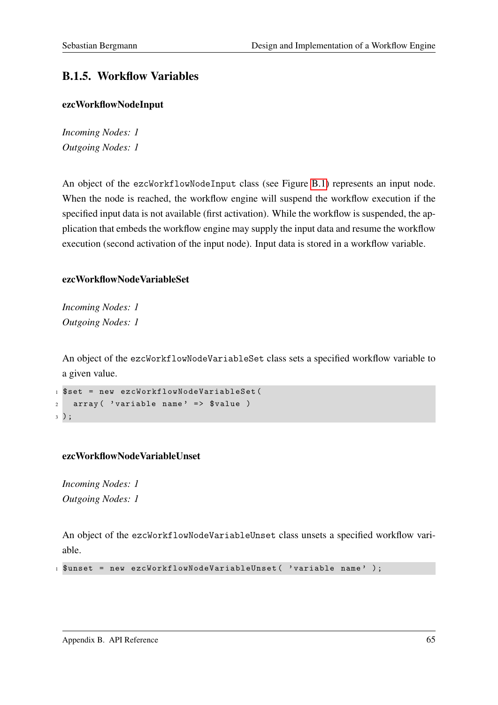# B.1.5. Workflow Variables

#### ezcWorkflowNodeInput

*Incoming Nodes: 1 Outgoing Nodes: 1*

An object of the ezcWorkflowNodeInput class (see Figure [B.1\)](#page-68-0) represents an input node. When the node is reached, the workflow engine will suspend the workflow execution if the specified input data is not available (first activation). While the workflow is suspended, the application that embeds the workflow engine may supply the input data and resume the workflow execution (second activation of the input node). Input data is stored in a workflow variable.

# ezcWorkflowNodeVariableSet

*Incoming Nodes: 1 Outgoing Nodes: 1*

An object of the ezcWorkflowNodeVariableSet class sets a specified workflow variable to a given value.

```
1 $set = new ezcWorkflowNodeVariableSet (
2 array ('variable name' => $value)
3 ) ;
```
# ezcWorkflowNodeVariableUnset

*Incoming Nodes: 1 Outgoing Nodes: 1*

An object of the ezcWorkflowNodeVariableUnset class unsets a specified workflow variable.

```
1 $unset = new ezcWorkflowNodeVariableUnset ( ' variable name ' ) ;
```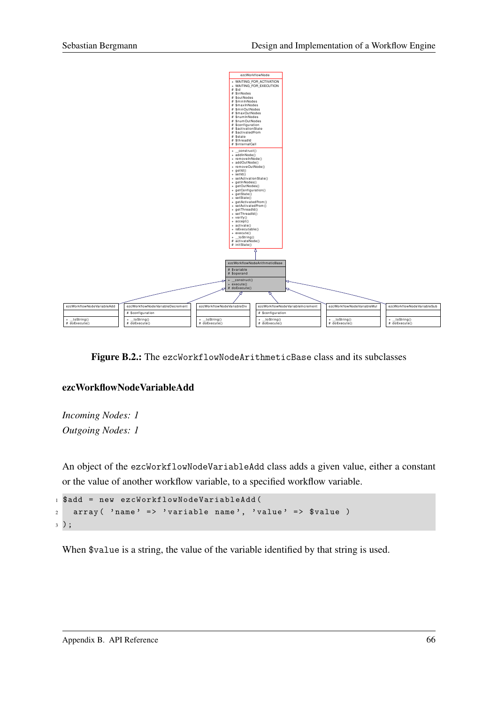

Figure B.2.: The ezcWorkflowNodeArithmeticBase class and its subclasses

#### ezcWorkflowNodeVariableAdd

*Incoming Nodes: 1 Outgoing Nodes: 1*

An object of the ezcWorkflowNodeVariableAdd class adds a given value, either a constant or the value of another workflow variable, to a specified workflow variable.

```
1 $add = new ezcWorkflowNodeVariableAdd (
2 array ( 'name' => 'variable name', 'value' => $value )
3 ) ;
```
When \$value is a string, the value of the variable identified by that string is used.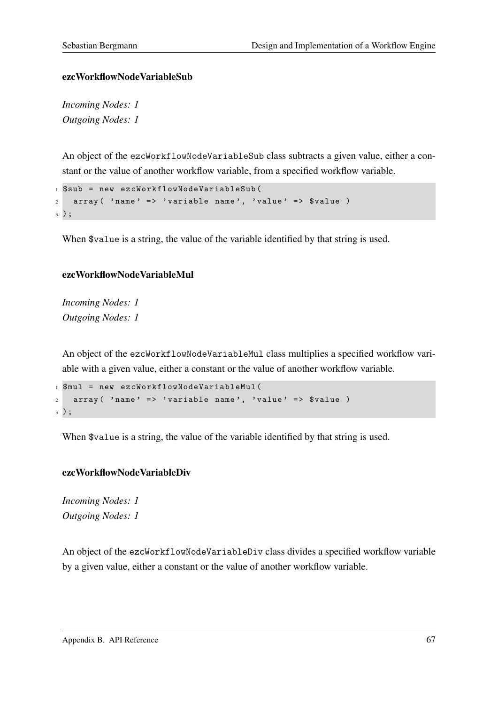#### ezcWorkflowNodeVariableSub

*Incoming Nodes: 1 Outgoing Nodes: 1*

An object of the ezcWorkflowNodeVariableSub class subtracts a given value, either a constant or the value of another workflow variable, from a specified workflow variable.

```
1 $sub = new ezcWorkflowNodeVariableSub (
   array( 'name' => 'variable name', 'value' => $value )
3 ) ;
```
When \$value is a string, the value of the variable identified by that string is used.

#### ezcWorkflowNodeVariableMul

*Incoming Nodes: 1 Outgoing Nodes: 1*

An object of the ezcWorkflowNodeVariableMul class multiplies a specified workflow variable with a given value, either a constant or the value of another workflow variable.

```
1 $mul = new ezcWorkflowNodeVariableMul (
2 \arctan(\theta) name ' => 'variable name', 'value' => \thetavalue)
3 ) ;
```
When  $\alpha$  is a string, the value of the variable identified by that string is used.

#### ezcWorkflowNodeVariableDiv

*Incoming Nodes: 1 Outgoing Nodes: 1*

An object of the ezcWorkflowNodeVariableDiv class divides a specified workflow variable by a given value, either a constant or the value of another workflow variable.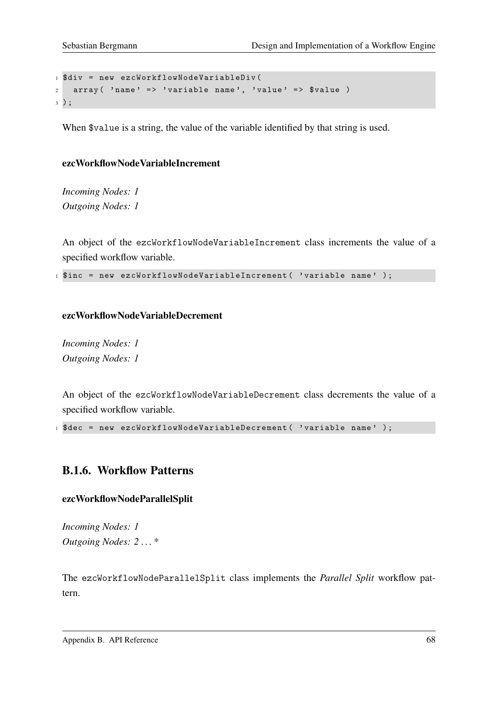```
1 $div = new ezcWorkflowNodeVariableDiv (
2 array ('name' => 'variable name', 'value' => \text{$}value )
3 ) ;
```
When \$value is a string, the value of the variable identified by that string is used.

#### ezcWorkflowNodeVariableIncrement

*Incoming Nodes: 1 Outgoing Nodes: 1*

An object of the ezcWorkflowNodeVariableIncrement class increments the value of a specified workflow variable.

1 \$inc = new ezcWorkflowNodeVariableIncrement ( 'variable name' );

#### ezcWorkflowNodeVariableDecrement

*Incoming Nodes: 1 Outgoing Nodes: 1*

An object of the ezcWorkflowNodeVariableDecrement class decrements the value of a specified workflow variable.

1 \$dec = new ezcWorkflowNodeVariableDecrement ( 'variable name' );

# B.1.6. Workflow Patterns

#### ezcWorkflowNodeParallelSplit

*Incoming Nodes: 1 Outgoing Nodes: 2 . . . \**

The ezcWorkflowNodeParallelSplit class implements the *Parallel Split* workflow pattern.

Appendix B. API Reference 68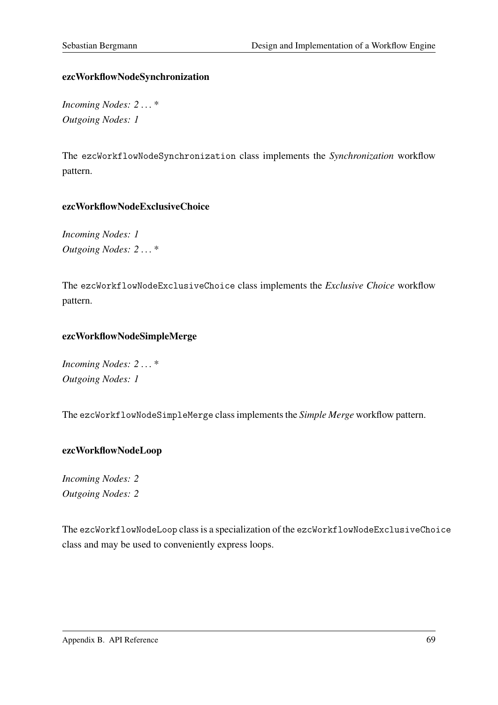## ezcWorkflowNodeSynchronization

*Incoming Nodes: 2 . . . \* Outgoing Nodes: 1*

The ezcWorkflowNodeSynchronization class implements the *Synchronization* workflow pattern.

## ezcWorkflowNodeExclusiveChoice

*Incoming Nodes: 1 Outgoing Nodes: 2 . . . \**

The ezcWorkflowNodeExclusiveChoice class implements the *Exclusive Choice* workflow pattern.

## ezcWorkflowNodeSimpleMerge

*Incoming Nodes: 2 . . . \* Outgoing Nodes: 1*

The ezcWorkflowNodeSimpleMerge class implements the *Simple Merge* workflow pattern.

#### ezcWorkflowNodeLoop

*Incoming Nodes: 2 Outgoing Nodes: 2*

The ezcWorkflowNodeLoop class is a specialization of the ezcWorkflowNodeExclusiveChoice class and may be used to conveniently express loops.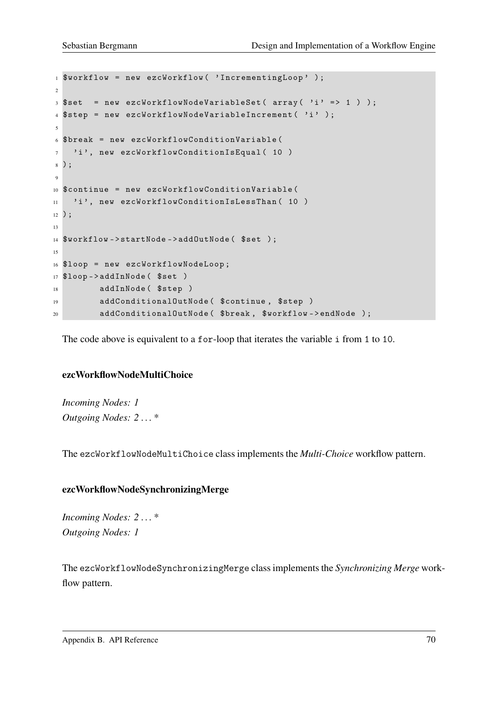```
1 $workflow = new ezcWorkflow ( ' IncrementingLoop ' ) ;
\overline{2}3 $set = new ezcWorkflowNodeVariableSet ( array( 'i' => 1 ) );
4 $step = new ezcWorkflowNodeVariableIncrement ( 'i' );
5
6 $break = new ezcWorkflowConditionVariable (
7 'i', new ezcWorkflowConditionIsEqual (10)
8 ) ;
\overline{9}10 $continue = new ezcWorkflowConditionVariable (
11 'i', new ezcWorkflowConditionIsLessThan (10)
12 ) ;
13
14 $workflow->startNode->addOutNode($set);
15
16 $loop = new ezcWorkflowNodeLoop ;
17 $loop - > addInNode ( $set )
18 addInNode ($step )
19 addConditionalOutNode ( $continue , $step )
20 addConditionalOutNode ( $break , $workflow - > endNode ) ;
```
The code above is equivalent to a for-loop that iterates the variable i from 1 to 10.

#### ezcWorkflowNodeMultiChoice

*Incoming Nodes: 1 Outgoing Nodes: 2 . . . \**

The ezcWorkflowNodeMultiChoice class implements the *Multi-Choice* workflow pattern.

#### ezcWorkflowNodeSynchronizingMerge

*Incoming Nodes: 2 . . . \* Outgoing Nodes: 1*

The ezcWorkflowNodeSynchronizingMerge class implements the *Synchronizing Merge* workflow pattern.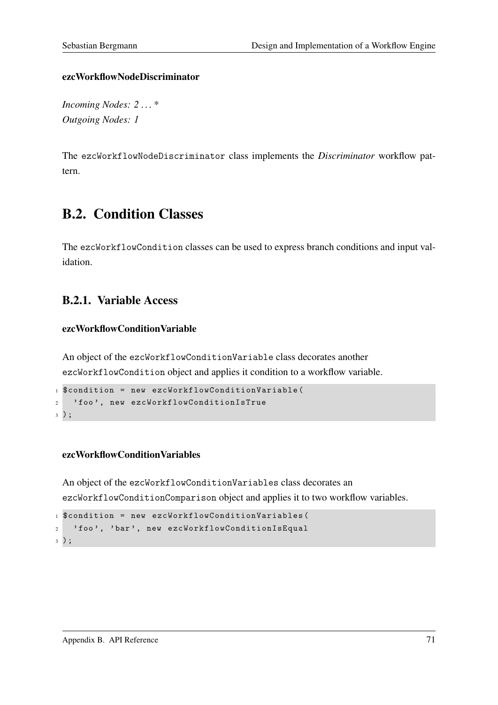#### ezcWorkflowNodeDiscriminator

*Incoming Nodes: 2 . . . \* Outgoing Nodes: 1*

The ezcWorkflowNodeDiscriminator class implements the *Discriminator* workflow pattern.

# B.2. Condition Classes

The ezcWorkflowCondition classes can be used to express branch conditions and input validation.

# B.2.1. Variable Access

#### ezcWorkflowConditionVariable

An object of the ezcWorkflowConditionVariable class decorates another ezcWorkflowCondition object and applies it condition to a workflow variable.

```
1 $condition = new ezcWorkflowConditionVariable (
2 'foo', new ezcWorkflowConditionIsTrue
3 ) ;
```
#### ezcWorkflowConditionVariables

An object of the ezcWorkflowConditionVariables class decorates an ezcWorkflowConditionComparison object and applies it to two workflow variables.

```
1 $condition = new ezcWorkflowConditionVariables (
<sup>2</sup> 'foo', 'bar', new ezcWorkflowConditionIsEqual
3 ) ;
```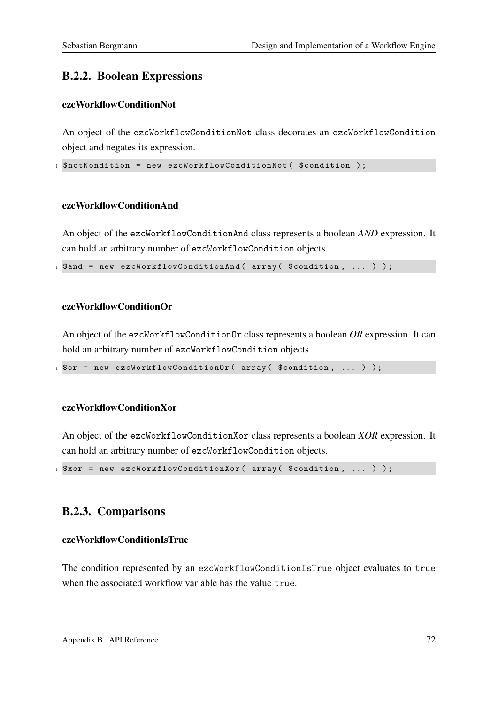# B.2.2. Boolean Expressions

#### ezcWorkflowConditionNot

An object of the ezcWorkflowConditionNot class decorates an ezcWorkflowCondition object and negates its expression.

1 \$notNondition = new ezcWorkflowConditionNot (\$condition);

#### ezcWorkflowConditionAnd

An object of the ezcWorkflowConditionAnd class represents a boolean *AND* expression. It can hold an arbitrary number of ezcWorkflowCondition objects.

1 \$and = new ezcWorkflowConditionAnd ( array ( \$condition, ... ) );

#### ezcWorkflowConditionOr

An object of the ezcWorkflowConditionOr class represents a boolean *OR* expression. It can hold an arbitrary number of ezcWorkflowCondition objects.

1 \$or = new ezcWorkflowConditionOr ( array ( \$condition, ... ) );

#### ezcWorkflowConditionXor

An object of the ezcWorkflowConditionXor class represents a boolean *XOR* expression. It can hold an arbitrary number of ezcWorkflowCondition objects.

 $1$  \$xor = new ezcWorkflowConditionXor( array (\$condition, ... ) );

# B.2.3. Comparisons

#### ezcWorkflowConditionIsTrue

The condition represented by an ezcWorkflowConditionIsTrue object evaluates to true when the associated workflow variable has the value true.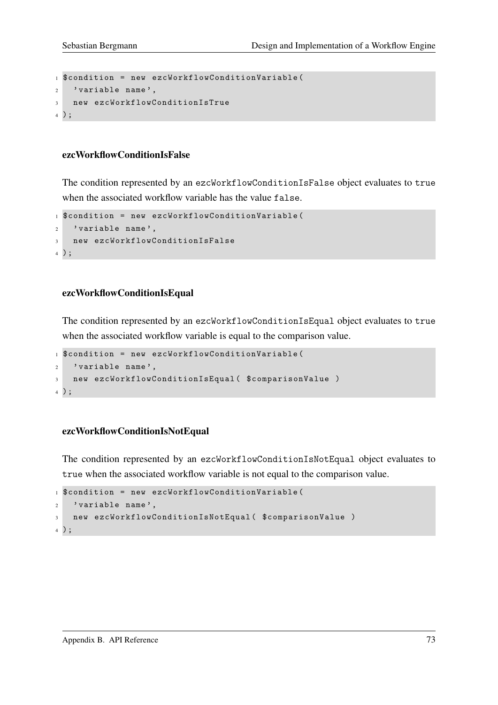```
1 $condition = new ezcWorkflowConditionVariable (
2 'variable name'.
3 new ezcWorkflowConditionIsTrue
4 ) ;
```
#### ezcWorkflowConditionIsFalse

The condition represented by an ezcWorkflowConditionIsFalse object evaluates to true when the associated workflow variable has the value false.

```
1 $condition = new ezcWorkflowConditionVariable (
2 'variable name',
3 new ezcWorkflowConditionIsFalse
4 ) ;
```
#### ezcWorkflowConditionIsEqual

The condition represented by an ezcWorkflowConditionIsEqual object evaluates to true when the associated workflow variable is equal to the comparison value.

```
1 $condition = new ezcWorkflowConditionVariable (
2 'variable name',
3 new ezcWorkflowConditionIsEqual ( $comparisonValue )
4 ) ;
```
#### ezcWorkflowConditionIsNotEqual

The condition represented by an ezcWorkflowConditionIsNotEqual object evaluates to true when the associated workflow variable is not equal to the comparison value.

```
1 $condition = new ezcWorkflowConditionVariable (
2 'variable name',
3 new ezcWorkflowConditionIsNotEqual ( $comparisonValue )
4 ) ;
```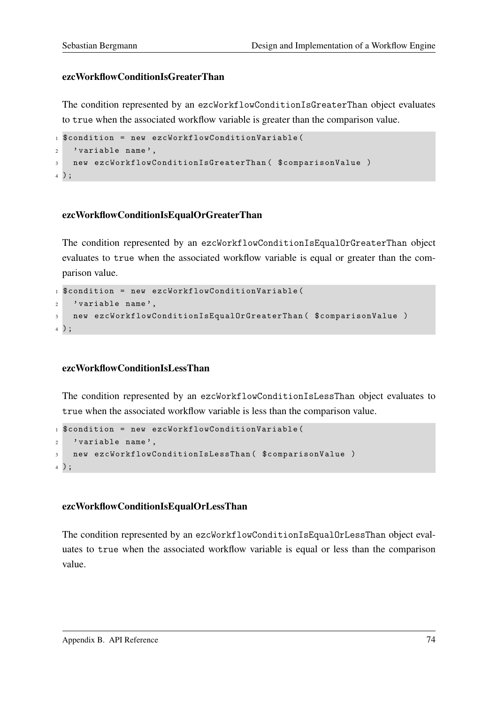#### ezcWorkflowConditionIsGreaterThan

The condition represented by an ezcWorkflowConditionIsGreaterThan object evaluates to true when the associated workflow variable is greater than the comparison value.

```
1 $condition = new ezcWorkflowConditionVariable (
2 'variable name',
3 new ezcWorkflowConditionIsGreaterThan ( $comparisonValue )
4 ) ;
```
#### ezcWorkflowConditionIsEqualOrGreaterThan

The condition represented by an ezcWorkflowConditionIsEqualOrGreaterThan object evaluates to true when the associated workflow variable is equal or greater than the comparison value.

```
1 $condition = new ezcWorkflowConditionVariable (
2 'variable name',
3 new ezcWorkflowConditionIsEqualOrGreaterThan ( $comparisonValue )
4 ) ;
```
#### ezcWorkflowConditionIsLessThan

The condition represented by an ezcWorkflowConditionIsLessThan object evaluates to true when the associated workflow variable is less than the comparison value.

```
1 $condition = new ezcWorkflowConditionVariable (
2 'variable name',
3 new ezcWorkflowConditionIsLessThan ( $comparisonValue )
4 ) ;
```
#### ezcWorkflowConditionIsEqualOrLessThan

The condition represented by an ezcWorkflowConditionIsEqualOrLessThan object evaluates to true when the associated workflow variable is equal or less than the comparison value.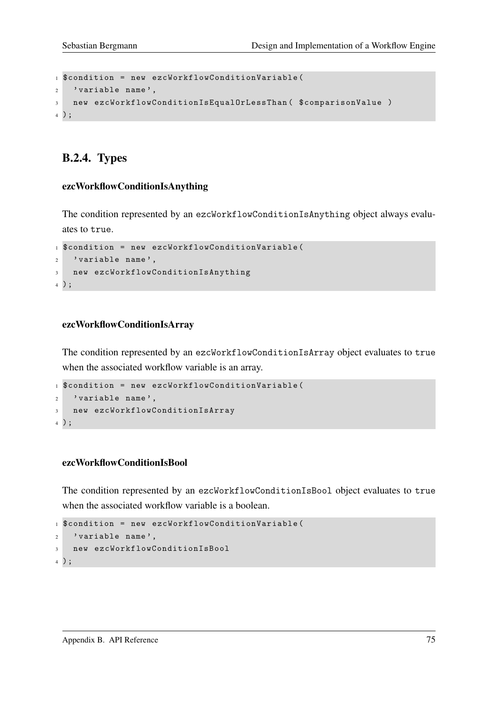```
1 $condition = new ezcWorkflowConditionVariable (
2 'variable name'.
3 new ezcWorkflowConditionIsEqualOrLessThan ( $comparisonValue )
4 ) ;
```
# B.2.4. Types

#### ezcWorkflowConditionIsAnything

The condition represented by an ezcWorkflowConditionIsAnything object always evaluates to true.

```
1 $condition = new ezcWorkflowConditionVariable (
2 'variable name',
3 new ezcWorkflowConditionIsAnything
4 ) ;
```
#### ezcWorkflowConditionIsArray

The condition represented by an ezcWorkflowConditionIsArray object evaluates to true when the associated workflow variable is an array.

```
1 $condition = new ezcWorkflowConditionVariable (
2 'variable name',
3 new ezcWorkflowConditionIsArray
4 ) ;
```
#### ezcWorkflowConditionIsBool

The condition represented by an ezcWorkflowConditionIsBool object evaluates to true when the associated workflow variable is a boolean.

```
1 $condition = new ezcWorkflowConditionVariable (
2 ' variable name',
3 new ezcWorkflowConditionIsBool
4 ) ;
```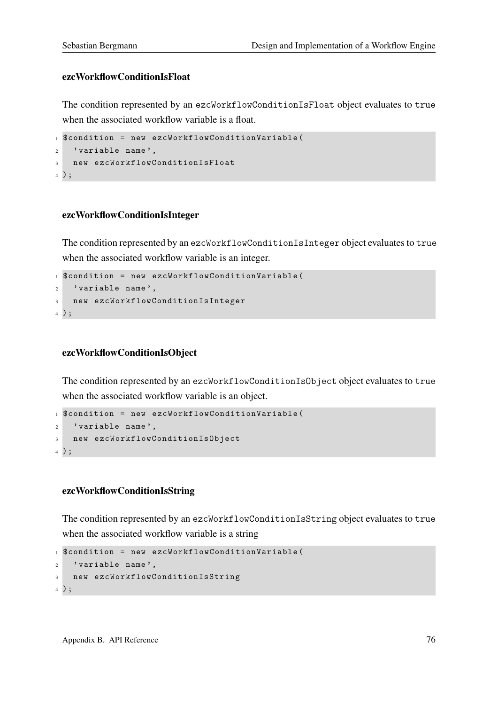#### ezcWorkflowConditionIsFloat

The condition represented by an ezcWorkflowConditionIsFloat object evaluates to true when the associated workflow variable is a float.

```
1 $condition = new ezcWorkflowConditionVariable (
2 'variable name',
3 new ezcWorkflowConditionIsFloat
4 ) ;
```
#### ezcWorkflowConditionIsInteger

The condition represented by an ezcWorkflowConditionIsInteger object evaluates to true when the associated workflow variable is an integer.

```
1 $condition = new ezcWorkflowConditionVariable (
2 'variable name',
3 new ezcWorkflowConditionIsInteger
4 ) ;
```
#### ezcWorkflowConditionIsObject

The condition represented by an ezcWorkflowConditionIsObject object evaluates to true when the associated workflow variable is an object.

```
1 $condition = new ezcWorkflowConditionVariable (
2 'variable name',
3 new ezcWorkflowConditionIsObject
4 ) ;
```
#### ezcWorkflowConditionIsString

The condition represented by an ezcWorkflowConditionIsString object evaluates to true when the associated workflow variable is a string

```
1 $condition = new ezcWorkflowConditionVariable (
2 'variable name',
3 new ezcWorkflowConditionIsString
4 ) ;
```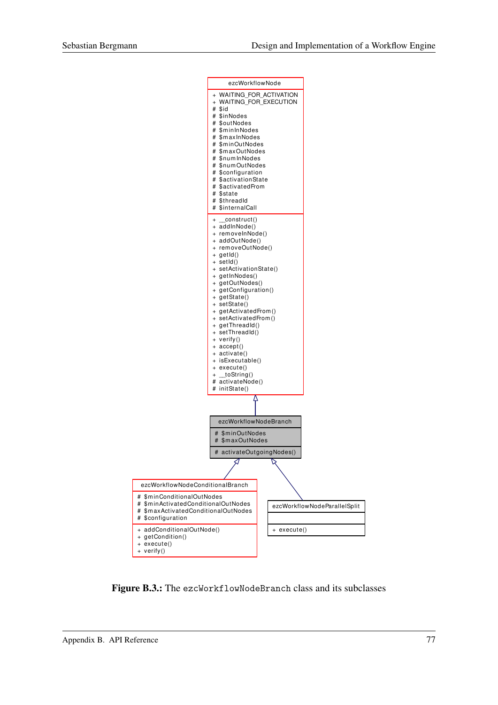

Figure B.3.: The ezcWorkflowNodeBranch class and its subclasses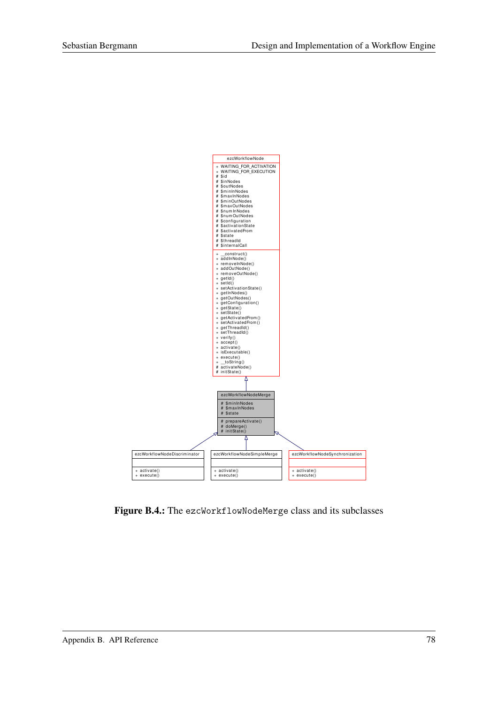

Figure B.4.: The ezcWorkflowNodeMerge class and its subclasses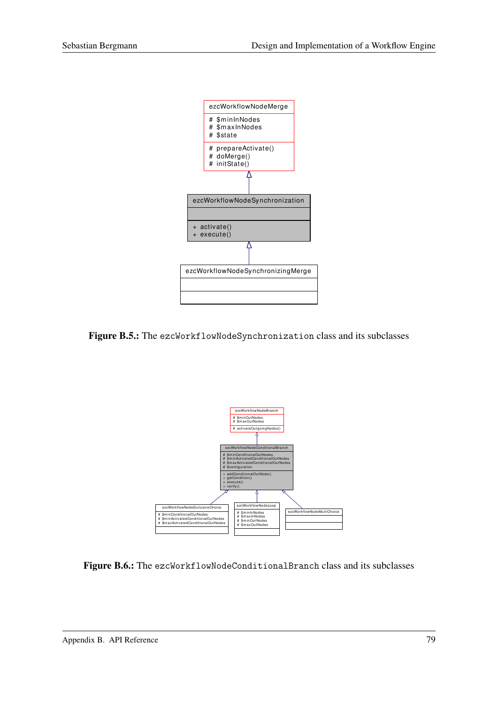

Figure B.5.: The ezcWorkflowNodeSynchronization class and its subclasses



Figure B.6.: The ezcWorkflowNodeConditionalBranch class and its subclasses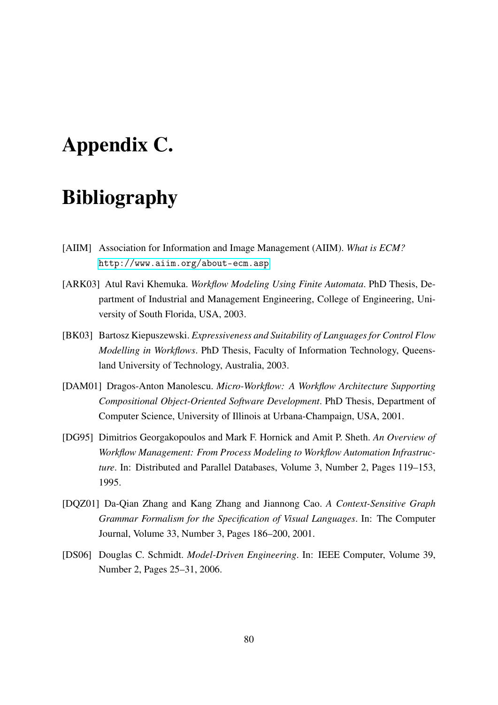# Appendix C.

# Bibliography

- [AIIM] Association for Information and Image Management (AIIM). *What is ECM?* <http://www.aiim.org/about-ecm.asp>
- [ARK03] Atul Ravi Khemuka. *Workflow Modeling Using Finite Automata*. PhD Thesis, Department of Industrial and Management Engineering, College of Engineering, University of South Florida, USA, 2003.
- [BK03] Bartosz Kiepuszewski. *Expressiveness and Suitability of Languages for Control Flow Modelling in Workflows*. PhD Thesis, Faculty of Information Technology, Queensland University of Technology, Australia, 2003.
- [DAM01] Dragos-Anton Manolescu. *Micro-Workflow: A Workflow Architecture Supporting Compositional Object-Oriented Software Development*. PhD Thesis, Department of Computer Science, University of Illinois at Urbana-Champaign, USA, 2001.
- [DG95] Dimitrios Georgakopoulos and Mark F. Hornick and Amit P. Sheth. *An Overview of Workflow Management: From Process Modeling to Workflow Automation Infrastructure*. In: Distributed and Parallel Databases, Volume 3, Number 2, Pages 119–153, 1995.
- [DQZ01] Da-Qian Zhang and Kang Zhang and Jiannong Cao. *A Context-Sensitive Graph Grammar Formalism for the Specification of Visual Languages*. In: The Computer Journal, Volume 33, Number 3, Pages 186–200, 2001.
- [DS06] Douglas C. Schmidt. *Model-Driven Engineering*. In: IEEE Computer, Volume 39, Number 2, Pages 25–31, 2006.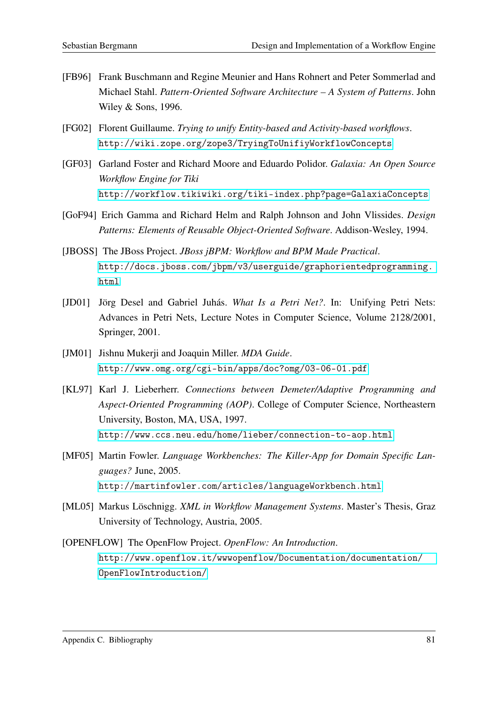- [FB96] Frank Buschmann and Regine Meunier and Hans Rohnert and Peter Sommerlad and Michael Stahl. *Pattern-Oriented Software Architecture – A System of Patterns*. John Wiley & Sons, 1996.
- [FG02] Florent Guillaume. *Trying to unify Entity-based and Activity-based workflows*. <http://wiki.zope.org/zope3/TryingToUnifiyWorkflowConcepts>
- [GF03] Garland Foster and Richard Moore and Eduardo Polidor. *Galaxia: An Open Source Workflow Engine for Tiki* <http://workflow.tikiwiki.org/tiki-index.php?page=GalaxiaConcepts>
- [GoF94] Erich Gamma and Richard Helm and Ralph Johnson and John Vlissides. *Design Patterns: Elements of Reusable Object-Oriented Software*. Addison-Wesley, 1994.
- [JBOSS] The JBoss Project. *JBoss jBPM: Workflow and BPM Made Practical*. [http://docs.jboss.com/jbpm/v3/userguide/graphorientedprogramming.](http://docs.jboss.com/jbpm/v3/userguide/graphorientedprogramming.html) [html](http://docs.jboss.com/jbpm/v3/userguide/graphorientedprogramming.html)
- [JD01] Jörg Desel and Gabriel Juhás. *What Is a Petri Net?*. In: Unifying Petri Nets: Advances in Petri Nets, Lecture Notes in Computer Science, Volume 2128/2001, Springer, 2001.
- [JM01] Jishnu Mukerji and Joaquin Miller. *MDA Guide*. <http://www.omg.org/cgi-bin/apps/doc?omg/03-06-01.pdf>
- [KL97] Karl J. Lieberherr. *Connections between Demeter/Adaptive Programming and Aspect-Oriented Programming (AOP)*. College of Computer Science, Northeastern University, Boston, MA, USA, 1997. <http://www.ccs.neu.edu/home/lieber/connection-to-aop.html>
- [MF05] Martin Fowler. *Language Workbenches: The Killer-App for Domain Specific Languages?* June, 2005. <http://martinfowler.com/articles/languageWorkbench.html>
- [ML05] Markus Löschnigg. *XML in Workflow Management Systems*. Master's Thesis, Graz University of Technology, Austria, 2005.
- [OPENFLOW] The OpenFlow Project. *OpenFlow: An Introduction*. [http://www.openflow.it/wwwopenflow/Documentation/documentation/](http://www.openflow.it/wwwopenflow/Documentation/documentation/OpenFlowIntroduction/) [OpenFlowIntroduction/](http://www.openflow.it/wwwopenflow/Documentation/documentation/OpenFlowIntroduction/)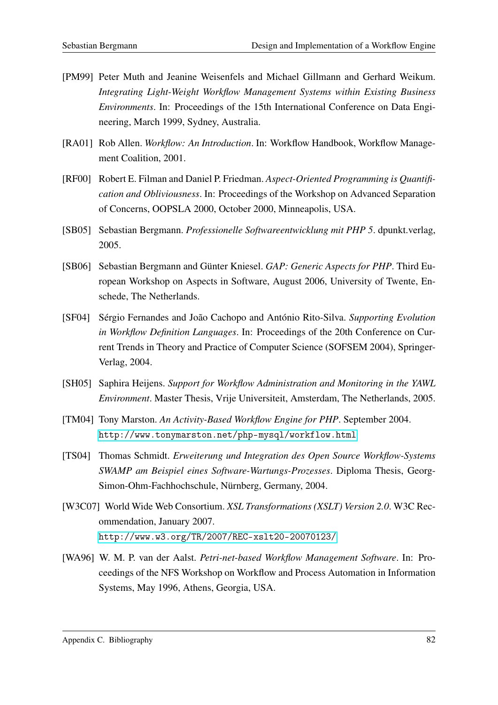- [PM99] Peter Muth and Jeanine Weisenfels and Michael Gillmann and Gerhard Weikum. *Integrating Light-Weight Workflow Management Systems within Existing Business Environments*. In: Proceedings of the 15th International Conference on Data Engineering, March 1999, Sydney, Australia.
- [RA01] Rob Allen. *Workflow: An Introduction*. In: Workflow Handbook, Workflow Management Coalition, 2001.
- [RF00] Robert E. Filman and Daniel P. Friedman. *Aspect-Oriented Programming is Quantification and Obliviousness*. In: Proceedings of the Workshop on Advanced Separation of Concerns, OOPSLA 2000, October 2000, Minneapolis, USA.
- [SB05] Sebastian Bergmann. *Professionelle Softwareentwicklung mit PHP 5*. dpunkt.verlag, 2005.
- [SB06] Sebastian Bergmann and Günter Kniesel. *GAP: Generic Aspects for PHP*. Third European Workshop on Aspects in Software, August 2006, University of Twente, Enschede, The Netherlands.
- [SF04] Sérgio Fernandes and João Cachopo and António Rito-Silva. *Supporting Evolution in Workflow Definition Languages*. In: Proceedings of the 20th Conference on Current Trends in Theory and Practice of Computer Science (SOFSEM 2004), Springer-Verlag, 2004.
- [SH05] Saphira Heijens. *Support for Workflow Administration and Monitoring in the YAWL Environment*. Master Thesis, Vrije Universiteit, Amsterdam, The Netherlands, 2005.
- [TM04] Tony Marston. *An Activity-Based Workflow Engine for PHP*. September 2004. <http://www.tonymarston.net/php-mysql/workflow.html>
- [TS04] Thomas Schmidt. *Erweiterung und Integration des Open Source Workflow-Systems SWAMP am Beispiel eines Software-Wartungs-Prozesses*. Diploma Thesis, Georg-Simon-Ohm-Fachhochschule, Nürnberg, Germany, 2004.
- [W3C07] World Wide Web Consortium. *XSL Transformations (XSLT) Version 2.0*. W3C Recommendation, January 2007. <http://www.w3.org/TR/2007/REC-xslt20-20070123/>
- [WA96] W. M. P. van der Aalst. *Petri-net-based Workflow Management Software*. In: Proceedings of the NFS Workshop on Workflow and Process Automation in Information Systems, May 1996, Athens, Georgia, USA.